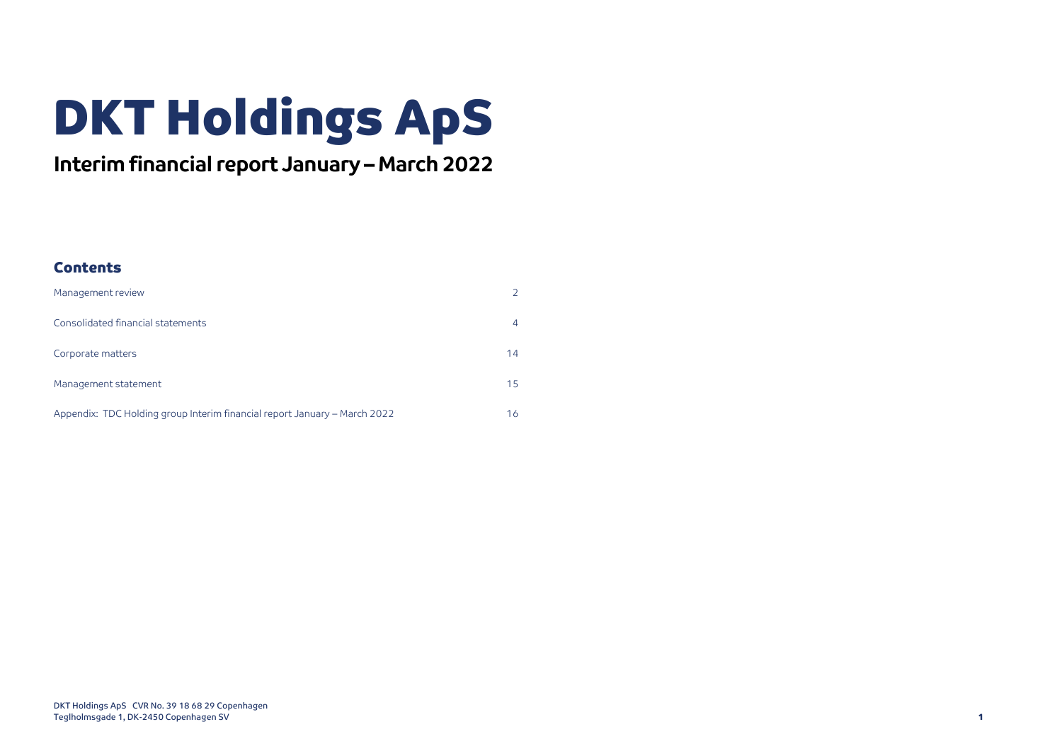# DKT Holdings ApS

## **Interim financial report January – March 2022**

### **Contents**

| Management review                                                         | $\overline{2}$ |
|---------------------------------------------------------------------------|----------------|
| Consolidated financial statements                                         | 4              |
| Corporate matters                                                         | 14             |
| Management statement                                                      | 15             |
| Appendix: TDC Holding group Interim financial report January – March 2022 | 16             |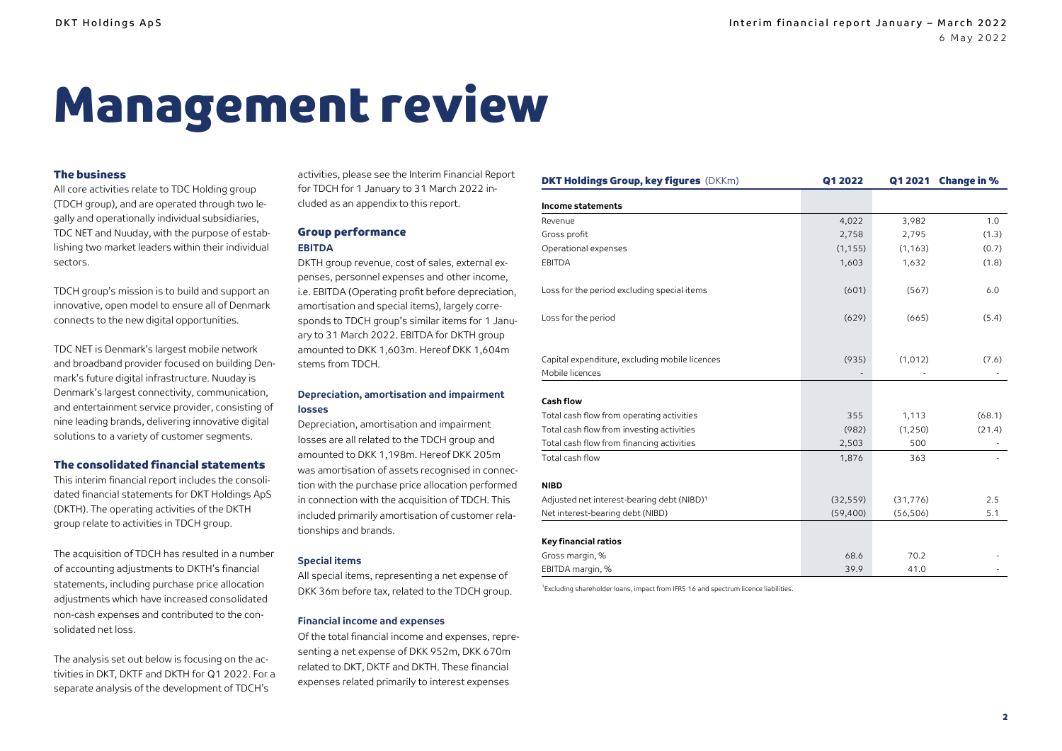# <span id="page-1-0"></span>Management review

#### The business

All core activities relate to TDC Holding group (TDCH group), and are operated through two legally and operationally individual subsidiaries, TDC NET and Nuuday, with the purpose of establishing two market leaders within their individual sectors.

TDCH group's mission is to build and support an innovative, open model to ensure all of Denmark connects to the new digital opportunities.

TDC NET is Denmark's largest mobile network and broadband provider focused on building Denmark's future digital infrastructure. Nuuday is Denmark's largest connectivity, communication, and entertainment service provider, consisting of nine leading brands, delivering innovative digital solutions to a variety of customer segments.

#### The consolidated financial statements

This interim financial report includes the consolidated financial statements for DKT Holdings ApS (DKTH). The operating activities of the DKTH group relate to activities in TDCH group.

The acquisition of TDCH has resulted in a number of accounting adjustments to DKTH's financial statements, including purchase price allocation adjustments which have increased consolidated non-cash expenses and contributed to the consolidated net loss.

The analysis set out below is focusing on the activities in DKT, DKTF and DKTH for Q1 2022. For a separate analysis of the development of TDCH's

activities, please see the Interim Financial Report for TDCH for 1 January to 31 March 2022 included as an appendix to this report.

#### Group performance **EBITDA**

DKTH group revenue, cost of sales, external expenses, personnel expenses and other income, i.e. EBITDA (Operating profit before depreciation, amortisation and special items), largely corresponds to TDCH group's similar items for 1 January to 31 March 2022. EBITDA for DKTH group amounted to DKK 1,603m. Hereof DKK 1,604m stems from TDCH.

#### **Depreciation, amortisation and impairment losses**

Depreciation, amortisation and impairment losses are all related to the TDCH group and amounted to DKK 1,198m. Hereof DKK 205m was amortisation of assets recognised in connection with the purchase price allocation performed in connection with the acquisition of TDCH. This included primarily amortisation of customer relationships and brands.

#### **Special items**

All special items, representing a net expense of DKK 36m before tax, related to the TDCH group.

#### **Financial income and expenses**

Of the total financial income and expenses, representing a net expense of DKK 952m, DKK 670m related to DKT, DKTF and DKTH. These financial expenses related primarily to interest expenses

| <b>DKT Holdings Group, key figures</b> (DKKm)                     | Q1 2022   | Q1 2021   | <b>Change in %</b> |
|-------------------------------------------------------------------|-----------|-----------|--------------------|
| Income statements                                                 |           |           |                    |
| Revenue                                                           | 4,022     | 3,982     | 1.0                |
| Gross profit                                                      | 2,758     | 2,795     | (1.3)              |
| Operational expenses                                              | (1, 155)  | (1, 163)  | (0.7)              |
| EBITDA                                                            | 1,603     | 1,632     | (1.8)              |
| Loss for the period excluding special items                       | (601)     | (567)     | 6.0                |
| Loss for the period                                               | (629)     | (665)     | (5.4)              |
| Capital expenditure, excluding mobile licences<br>Mobile licences | (935)     | (1,012)   | (7.6)              |
|                                                                   |           |           |                    |
| Cash flow                                                         |           |           |                    |
| Total cash flow from operating activities                         | 355       | 1,113     | (68.1)             |
| Total cash flow from investing activities                         | (982)     | (1,250)   | (21.4)             |
| Total cash flow from financing activities                         | 2,503     | 500       |                    |
| Total cash flow                                                   | 1,876     | 363       |                    |
| <b>NIBD</b>                                                       |           |           |                    |
| Adjusted net interest-bearing debt (NIBD) <sup>1</sup>            | (32, 559) | (31, 776) | 2.5                |
| Net interest-bearing debt (NIBD)                                  | (59, 400) | (56, 506) | 5.1                |
|                                                                   |           |           |                    |
| Key financial ratios                                              |           |           |                    |
| Gross margin, %                                                   | 68.6      | 70.2      |                    |
| EBITDA margin, %                                                  | 39.9      | 41.0      |                    |

<sup>1</sup> Excluding shareholder loans, impact from IFRS 16 and spectrum licence liabilities.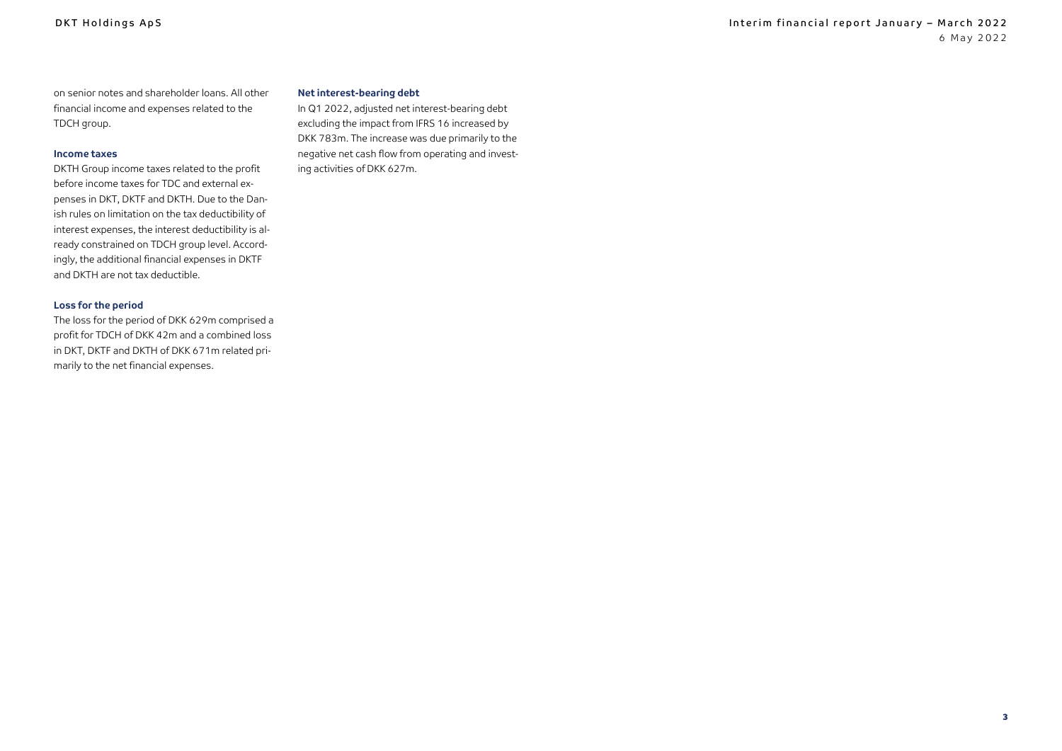on senior notes and shareholder loans. All other financial income and expenses related to the TDCH group.

#### **Income taxes**

DKTH Group income taxes related to the profit before income taxes for TDC and external expenses in DKT, DKTF and DKTH. Due to the Danish rules on limitation on the tax deductibility of interest expenses, the interest deductibility is already constrained on TDCH group level. Accordingly, the additional financial expenses in DKTF and DKTH are not tax deductible.

#### **Loss for the period**

The loss for the period of DKK 629m comprised a profit for TDCH of DKK 42m and a combined loss in DKT, DKTF and DKTH of DKK 671m related primarily to the net financial expenses.

#### **Net interest-bearing debt**

In Q1 2022, adjusted net interest-bearing debt excluding the impact from IFRS 16 increased by DKK 783m. The increase was due primarily to the negative net cash flow from operating and investing activities of DKK 627m.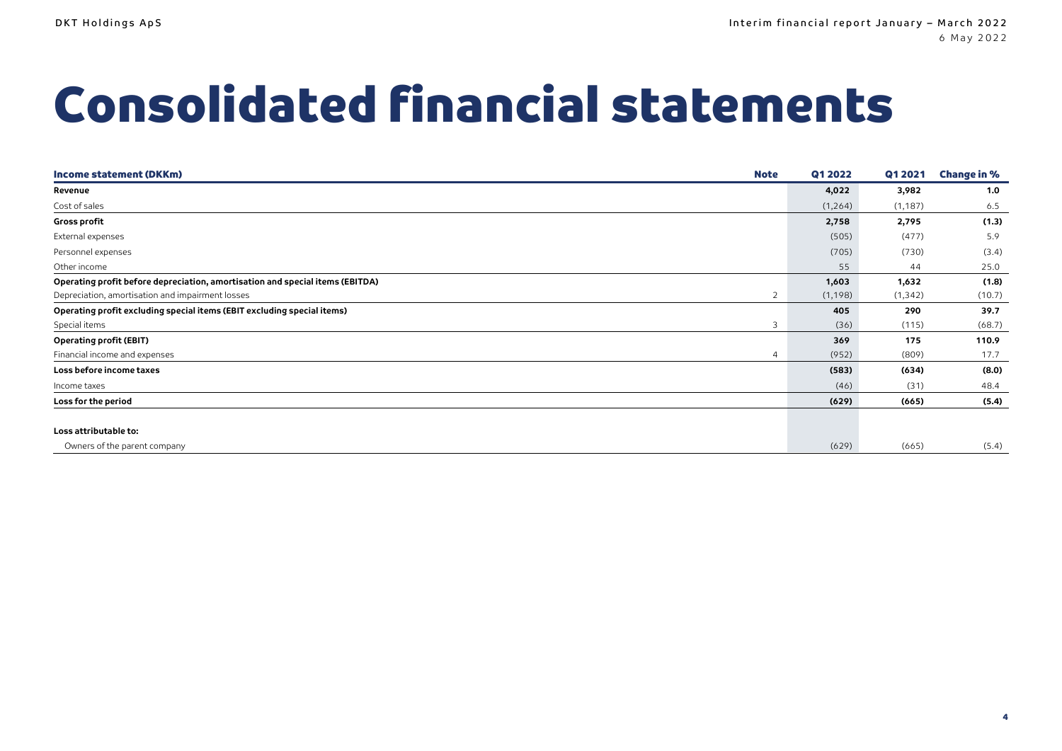# <span id="page-3-0"></span>Consolidated financial statements

| <b>Note</b><br>Income statement (DKKm)                                        | Q1 2022  | Q1 2021  | <b>Change in %</b> |
|-------------------------------------------------------------------------------|----------|----------|--------------------|
| Revenue                                                                       | 4,022    | 3,982    | 1.0                |
| Cost of sales                                                                 | (1,264)  | (1, 187) | 6.5                |
| <b>Gross profit</b>                                                           | 2,758    | 2,795    | (1.3)              |
| External expenses                                                             | (505)    | (477)    | 5.9                |
| Personnel expenses                                                            | (705)    | (730)    | (3.4)              |
| Other income                                                                  | 55       | 44       | 25.0               |
| Operating profit before depreciation, amortisation and special items (EBITDA) | 1,603    | 1,632    | (1.8)              |
| Depreciation, amortisation and impairment losses<br>2                         | (1, 198) | (1, 342) | (10.7)             |
| Operating profit excluding special items (EBIT excluding special items)       | 405      | 290      | 39.7               |
| Special items<br>3                                                            | (36)     | (115)    | (68.7)             |
| <b>Operating profit (EBIT)</b>                                                | 369      | 175      | 110.9              |
| Financial income and expenses<br>4                                            | (952)    | (809)    | 17.7               |
| Loss before income taxes                                                      | (583)    | (634)    | (8.0)              |
| Income taxes                                                                  | (46)     | (31)     | 48.4               |
| Loss for the period                                                           | (629)    | (665)    | (5.4)              |
|                                                                               |          |          |                    |
| Loss attributable to:                                                         |          |          |                    |
| Owners of the parent company                                                  | (629)    | (665)    | (5.4)              |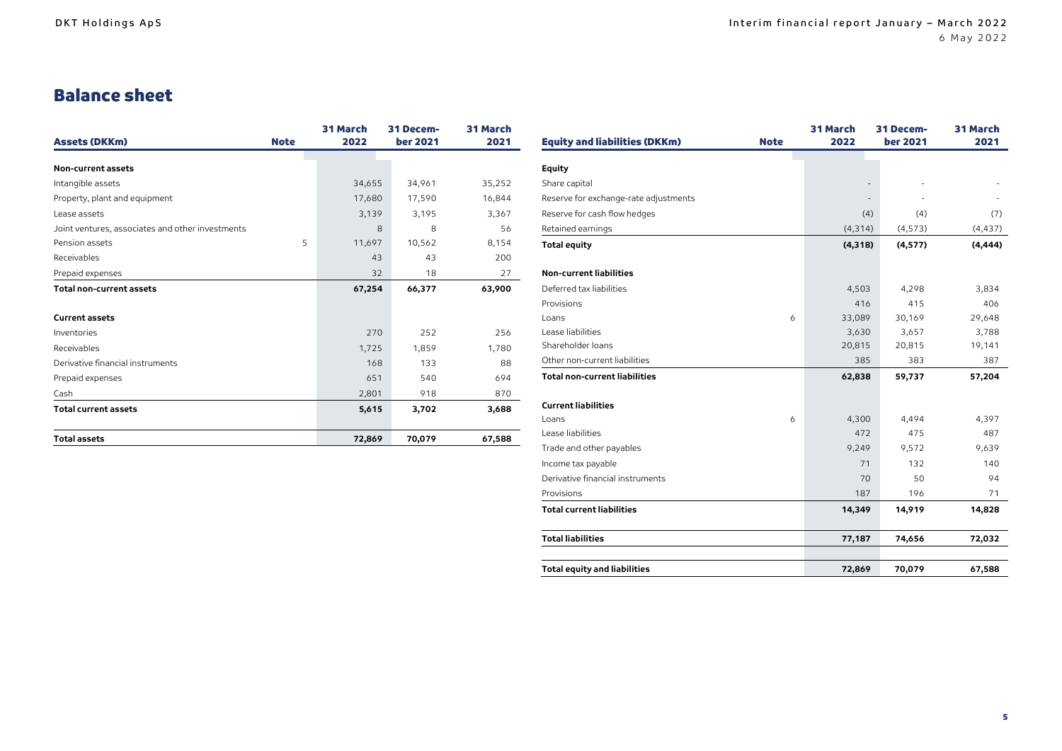## Balance sheet

| <b>Assets (DKKm)</b>                             | <b>Note</b> | <b>31 March</b><br>2022 | 31 Decem-<br><b>ber 2021</b> | 31 March<br>2021 |
|--------------------------------------------------|-------------|-------------------------|------------------------------|------------------|
|                                                  |             |                         |                              |                  |
| Non-current assets                               |             |                         |                              |                  |
| Intangible assets                                |             | 34,655                  | 34,961                       | 35,252           |
| Property, plant and equipment                    |             | 17,680                  | 17,590                       | 16,844           |
| Lease assets                                     |             | 3,139                   | 3,195                        | 3,367            |
| Joint ventures, associates and other investments |             | 8                       | 8                            | 56               |
| Pension assets                                   | 5           | 11,697                  | 10,562                       | 8,154            |
| Receivables                                      |             | 43                      | 43                           | 200              |
| Prepaid expenses                                 |             | 32                      | 18                           | 27               |
| <b>Total non-current assets</b>                  |             | 67,254                  | 66,377                       | 63,900           |
|                                                  |             |                         |                              |                  |
| <b>Current assets</b>                            |             |                         |                              |                  |
| Inventories                                      |             | 270                     | 252                          | 256              |
| Receivables                                      |             | 1,725                   | 1,859                        | 1,780            |
| Derivative financial instruments                 |             | 168                     | 133                          | 88               |
| Prepaid expenses                                 |             | 651                     | 540                          | 694              |
| Cash                                             |             | 2,801                   | 918                          | 870              |
| <b>Total current assets</b>                      |             | 5,615                   | 3,702                        | 3,688            |
| <b>Total assets</b>                              |             | 72,869                  | 70,079                       | 67,588           |

|                                       |             | 31 March | 31 Decem-       | 31 March |
|---------------------------------------|-------------|----------|-----------------|----------|
| <b>Equity and liabilities (DKKm)</b>  | <b>Note</b> | 2022     | <b>ber 2021</b> | 2021     |
| <b>Equity</b>                         |             |          |                 |          |
| Share capital                         |             |          |                 |          |
|                                       |             |          |                 |          |
| Reserve for exchange-rate adjustments |             |          |                 |          |
| Reserve for cash flow hedges          |             | (4)      | (4)             | (7)      |
| Retained earnings                     |             | (4, 314) | (4, 573)        | (4, 437) |
| <b>Total equity</b>                   |             | (4, 318) | (4, 577)        | (4, 444) |
| <b>Non-current liabilities</b>        |             |          |                 |          |
| Deferred tax liabilities              |             | 4,503    | 4,298           | 3,834    |
| Provisions                            |             | 416      | 415             | 406      |
| Loans                                 | 6           | 33,089   | 30,169          | 29,648   |
| Lease liabilities                     |             | 3,630    | 3,657           | 3,788    |
| Shareholder loans                     |             | 20,815   | 20,815          | 19,141   |
| Other non-current liabilities         |             | 385      | 383             | 387      |
| Total non-current liabilities         |             | 62,838   | 59,737          | 57,204   |
| <b>Current liabilities</b>            |             |          |                 |          |
| Loans                                 | 6           | 4,300    | 4,494           | 4,397    |
| Lease liabilities                     |             | 472      | 475             | 487      |
| Trade and other payables              |             | 9,249    | 9,572           | 9,639    |
| Income tax payable                    |             | 71       | 132             | 140      |
| Derivative financial instruments      |             | 70       | 50              | 94       |
| Provisions                            |             | 187      | 196             | 71       |
| <b>Total current liabilities</b>      |             | 14,349   | 14,919          | 14,828   |
| <b>Total liabilities</b>              |             | 77,187   | 74,656          | 72,032   |
|                                       |             |          |                 |          |
| <b>Total equity and liabilities</b>   |             | 72,869   | 70,079          | 67,588   |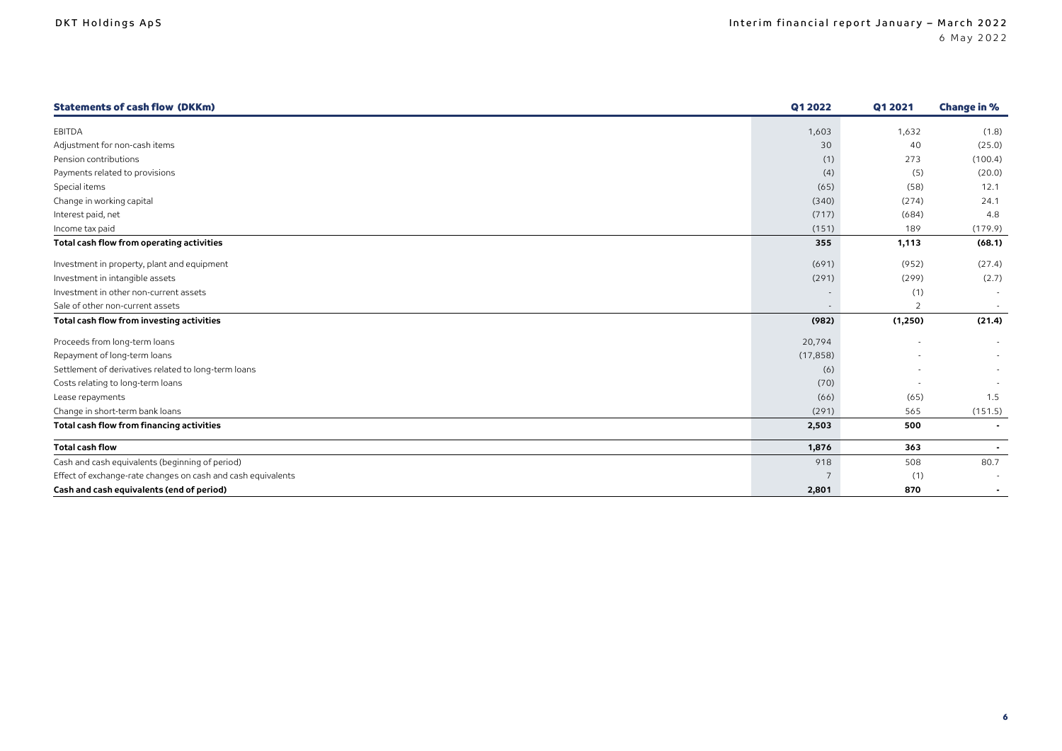| <b>Statements of cash flow (DKKm)</b>                        | Q1 2022   | Q1 2021        | <b>Change in %</b> |
|--------------------------------------------------------------|-----------|----------------|--------------------|
| EBITDA                                                       | 1,603     | 1,632          | (1.8)              |
| Adjustment for non-cash items                                | 30        | 40             | (25.0)             |
| Pension contributions                                        | (1)       | 273            | (100.4)            |
| Payments related to provisions                               | (4)       | (5)            | (20.0)             |
| Special items                                                | (65)      | (58)           | 12.1               |
| Change in working capital                                    | (340)     | (274)          | 24.1               |
| Interest paid, net                                           | (717)     | (684)          | 4.8                |
| Income tax paid                                              | (151)     | 189            | (179.9)            |
| Total cash flow from operating activities                    | 355       | 1,113          | (68.1)             |
| Investment in property, plant and equipment                  | (691)     | (952)          | (27.4)             |
| Investment in intangible assets                              | (291)     | (299)          | (2.7)              |
| Investment in other non-current assets                       |           | (1)            | $\sim$             |
| Sale of other non-current assets                             |           | $\overline{2}$ |                    |
| Total cash flow from investing activities                    | (982)     | (1,250)        | (21.4)             |
| Proceeds from long-term loans                                | 20,794    |                | $\sim$             |
| Repayment of long-term loans                                 | (17, 858) |                | $\sim$             |
| Settlement of derivatives related to long-term loans         | (6)       |                |                    |
| Costs relating to long-term loans                            | (70)      |                |                    |
| Lease repayments                                             | (66)      | (65)           | 1.5                |
| Change in short-term bank loans                              | (291)     | 565            | (151.5)            |
| Total cash flow from financing activities                    | 2,503     | 500            |                    |
| <b>Total cash flow</b>                                       | 1,876     | 363            |                    |
| Cash and cash equivalents (beginning of period)              | 918       | 508            | 80.7               |
| Effect of exchange-rate changes on cash and cash equivalents |           | (1)            |                    |
| Cash and cash equivalents (end of period)                    | 2,801     | 870            |                    |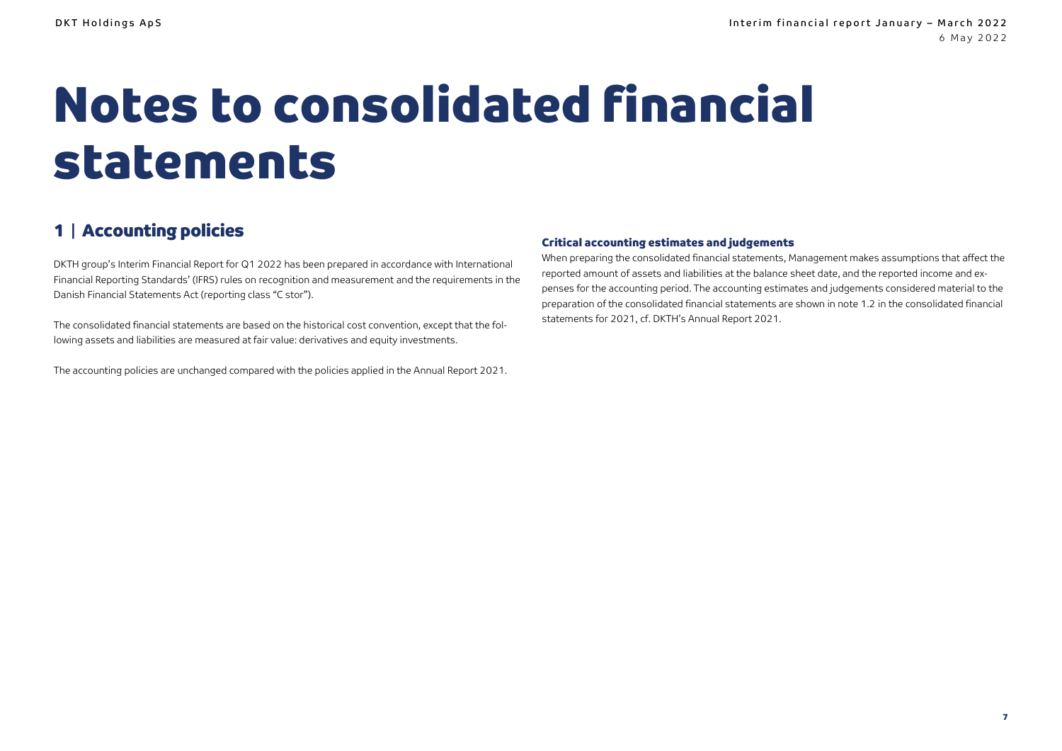# Notes to consolidated financial statements

## 1 | Accounting policies

DKTH group's Interim Financial Report for Q1 2022 has been prepared in accordance with International Financial Reporting Standards' (IFRS) rules on recognition and measurement and the requirements in the Danish Financial Statements Act (reporting class "C stor").

The consolidated financial statements are based on the historical cost convention, except that the following assets and liabilities are measured at fair value: derivatives and equity investments.

The accounting policies are unchanged compared with the policies applied in the Annual Report 2021.

#### Critical accounting estimates and judgements

When preparing the consolidated financial statements, Management makes assumptions that affect the reported amount of assets and liabilities at the balance sheet date, and the reported income and expenses for the accounting period. The accounting estimates and judgements considered material to the preparation of the consolidated financial statements are shown in note 1.2 in the consolidated financial statements for 2021, cf. DKTH's Annual Report 2021.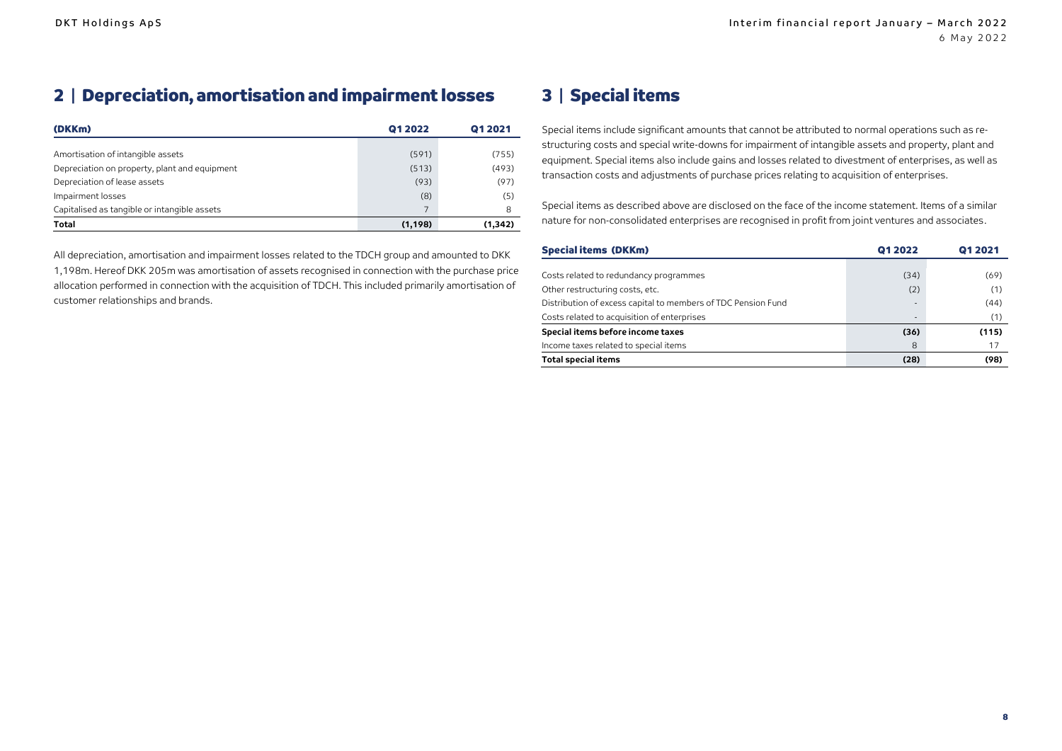## 2 | Depreciation, amortisation and impairment losses

| (DKKm)                                        | Q1 2022  | Q1 2021  |
|-----------------------------------------------|----------|----------|
|                                               |          |          |
| Amortisation of intangible assets             | (591)    | (755)    |
| Depreciation on property, plant and equipment | (513)    | (493)    |
| Depreciation of lease assets                  | (93)     | (97)     |
| Impairment losses                             | (8)      | (5)      |
| Capitalised as tangible or intangible assets  |          | 8        |
| <b>Total</b>                                  | (1, 198) | (1, 342) |

All depreciation, amortisation and impairment losses related to the TDCH group and amounted to DKK 1,198m. Hereof DKK 205m was amortisation of assets recognised in connection with the purchase price allocation performed in connection with the acquisition of TDCH. This included primarily amortisation of customer relationships and brands.

### 3 | Special items

Special items include significant amounts that cannot be attributed to normal operations such as restructuring costs and special write-downs for impairment of intangible assets and property, plant and equipment. Special items also include gains and losses related to divestment of enterprises, as well as transaction costs and adjustments of purchase prices relating to acquisition of enterprises.

Special items as described above are disclosed on the face of the income statement. Items of a similar nature for non-consolidated enterprises are recognised in profit from joint ventures and associates.

| <b>Special items (DKKm)</b>                                   | 01 2022 | 01 20 21 |
|---------------------------------------------------------------|---------|----------|
|                                                               |         |          |
| Costs related to redundancy programmes                        | (34)    | (69)     |
| Other restructuring costs, etc.                               | (2)     | (1)      |
| Distribution of excess capital to members of TDC Pension Fund | ۰.      | (44)     |
| Costs related to acquisition of enterprises                   |         | (1)      |
| Special items before income taxes                             | (36)    | (115)    |
| Income taxes related to special items                         | 8       | 17       |
| <b>Total special items</b>                                    | (28)    | (98)     |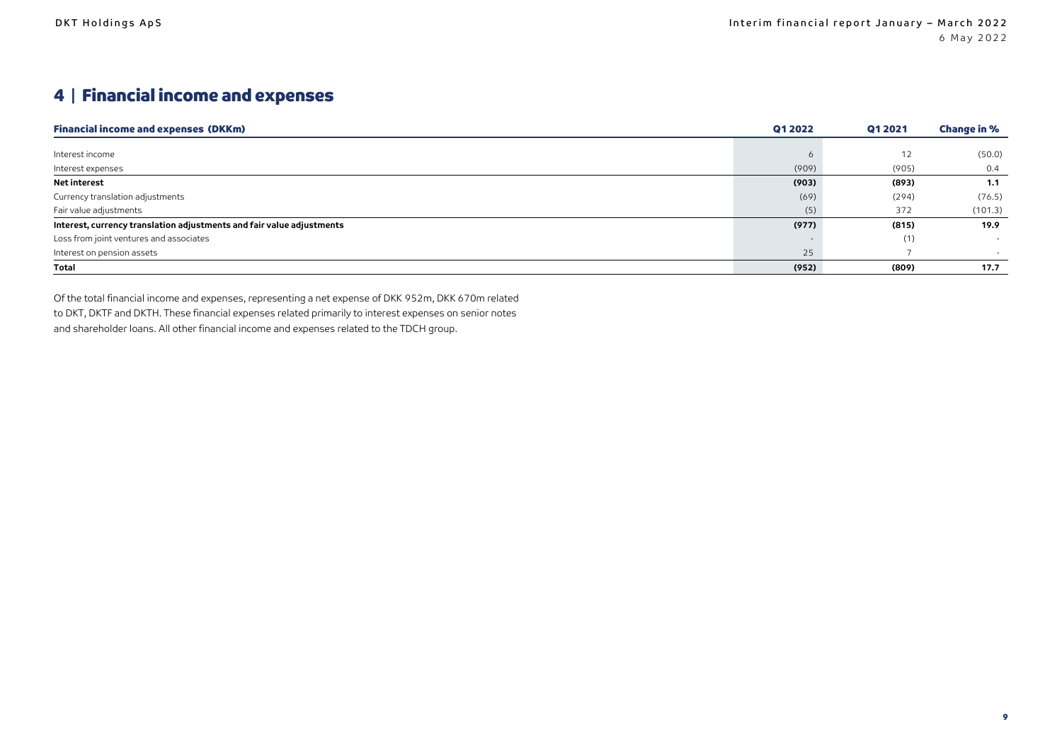## 4 | Financial income and expenses

| <b>Financial income and expenses (DKKm)</b>                           | Q1 2022 | Q1 2021 | <b>Change in %</b> |
|-----------------------------------------------------------------------|---------|---------|--------------------|
|                                                                       |         |         |                    |
| Interest income                                                       |         | 12      | (50.0)             |
| Interest expenses                                                     | (909)   | (905)   | 0.4                |
| Net interest                                                          | (903)   | (893)   | 1.1                |
| Currency translation adjustments                                      | (69)    | (294)   | (76.5)             |
| Fair value adjustments                                                | (5)     | 372     | (101.3)            |
| Interest, currency translation adjustments and fair value adjustments | (977)   | (815)   | 19.9               |
| Loss from joint ventures and associates                               |         | (1)     |                    |
| Interest on pension assets                                            | 25      |         |                    |
| <b>Total</b>                                                          | (952)   | (809)   | 17.7               |

Of the total financial income and expenses, representing a net expense of DKK 952m, DKK 670m related to DKT, DKTF and DKTH. These financial expenses related primarily to interest expenses on senior notes and shareholder loans. All other financial income and expenses related to the TDCH group.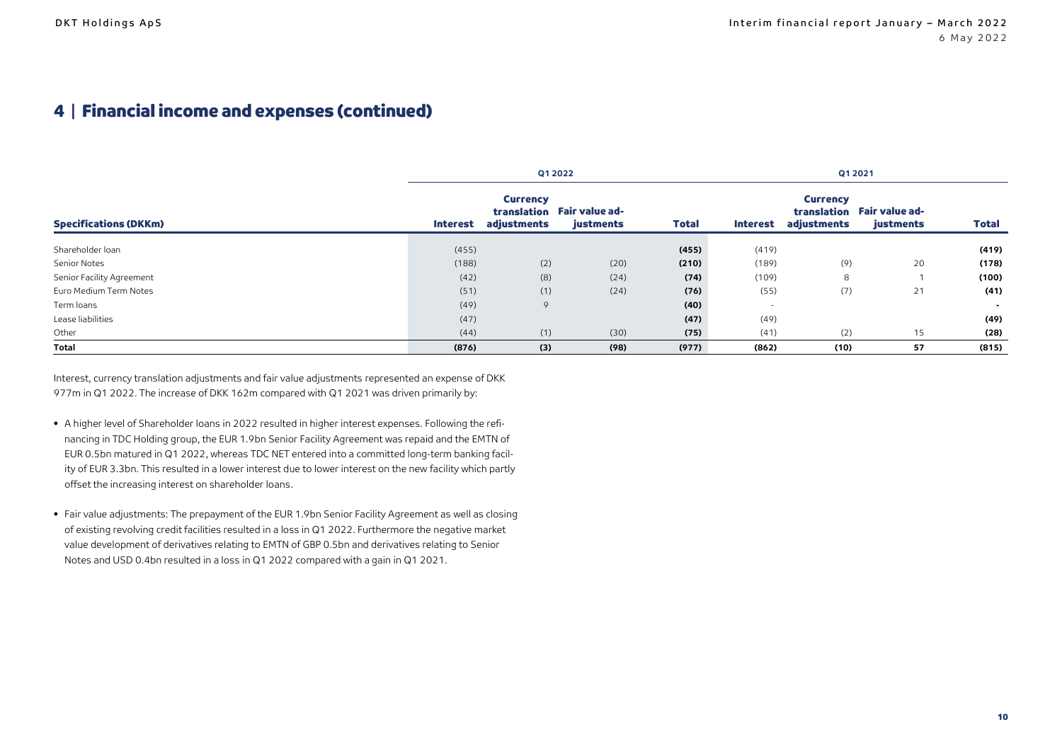### 4 | Financial income and expenses (continued)

|                              | Q1 2022  |                                |                                         |              | Q1 2021                  |                                |                                         |              |
|------------------------------|----------|--------------------------------|-----------------------------------------|--------------|--------------------------|--------------------------------|-----------------------------------------|--------------|
| <b>Specifications (DKKm)</b> | Interest | <b>Currency</b><br>adjustments | translation Fair value ad-<br>justments | <b>Total</b> | <b>Interest</b>          | <b>Currency</b><br>adjustments | translation Fair value ad-<br>justments | <b>Total</b> |
| Shareholder loan             | (455)    |                                |                                         | (455)        | (419)                    |                                |                                         | (419)        |
| Senior Notes                 | (188)    | (2)                            | (20)                                    | (210)        | (189)                    | (9)                            | 20                                      | (178)        |
| Senior Facility Agreement    | (42)     | (8)                            | (24)                                    | (74)         | (109)                    | 8                              |                                         | (100)        |
| Euro Medium Term Notes       | (51)     | (1)                            | (24)                                    | (76)         | (55)                     | (7)                            | 21                                      | (41)         |
| Term loans                   | (49)     | 9                              |                                         | (40)         | $\overline{\phantom{a}}$ |                                |                                         | $\sim$       |
| Lease liabilities            | (47)     |                                |                                         | (47)         | (49)                     |                                |                                         | (49)         |
| Other                        | (44)     | (1)                            | (30)                                    | (75)         | (41)                     | (2)                            | 15                                      | (28)         |
| Total                        | (876)    | (3)                            | (98)                                    | (977)        | (862)                    | (10)                           | 57                                      | (815)        |

Interest, currency translation adjustments and fair value adjustments represented an expense of DKK 977m in Q1 2022. The increase of DKK 162m compared with Q1 2021 was driven primarily by:

- A higher level of Shareholder loans in 2022 resulted in higher interest expenses. Following the refinancing in TDC Holding group, the EUR 1.9bn Senior Facility Agreement was repaid and the EMTN of EUR 0.5bn matured in Q1 2022, whereas TDC NET entered into a committed long-term banking facility of EUR 3.3bn. This resulted in a lower interest due to lower interest on the new facility which partly offset the increasing interest on shareholder loans.
- Fair value adjustments: The prepayment of the EUR 1.9bn Senior Facility Agreement as well as closing of existing revolving credit facilities resulted in a loss in Q1 2022. Furthermore the negative market value development of derivatives relating to EMTN of GBP 0.5bn and derivatives relating to Senior Notes and USD 0.4bn resulted in a loss in Q1 2022 compared with a gain in Q1 2021.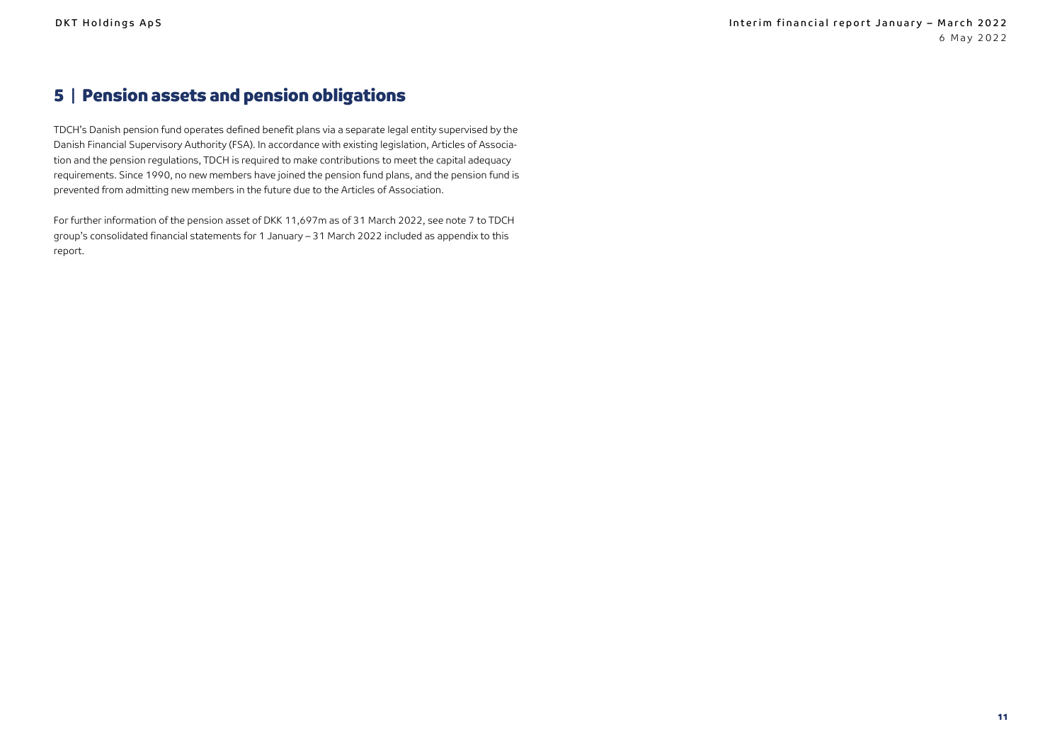### 5 | Pension assets and pension obligations

TDCH's Danish pension fund operates defined benefit plans via a separate legal entity supervised by the Danish Financial Supervisory Authority (FSA). In accordance with existing legislation, Articles of Association and the pension regulations, TDCH is required to make contributions to meet the capital adequacy requirements. Since 1990, no new members have joined the pension fund plans, and the pension fund is prevented from admitting new members in the future due to the Articles of Association.

For further information of the pension asset of DKK 11,697m as of 31 March 2022, see note 7 to TDCH group's consolidated financial statements for 1 January – 31 March 2022 included as appendix to this report.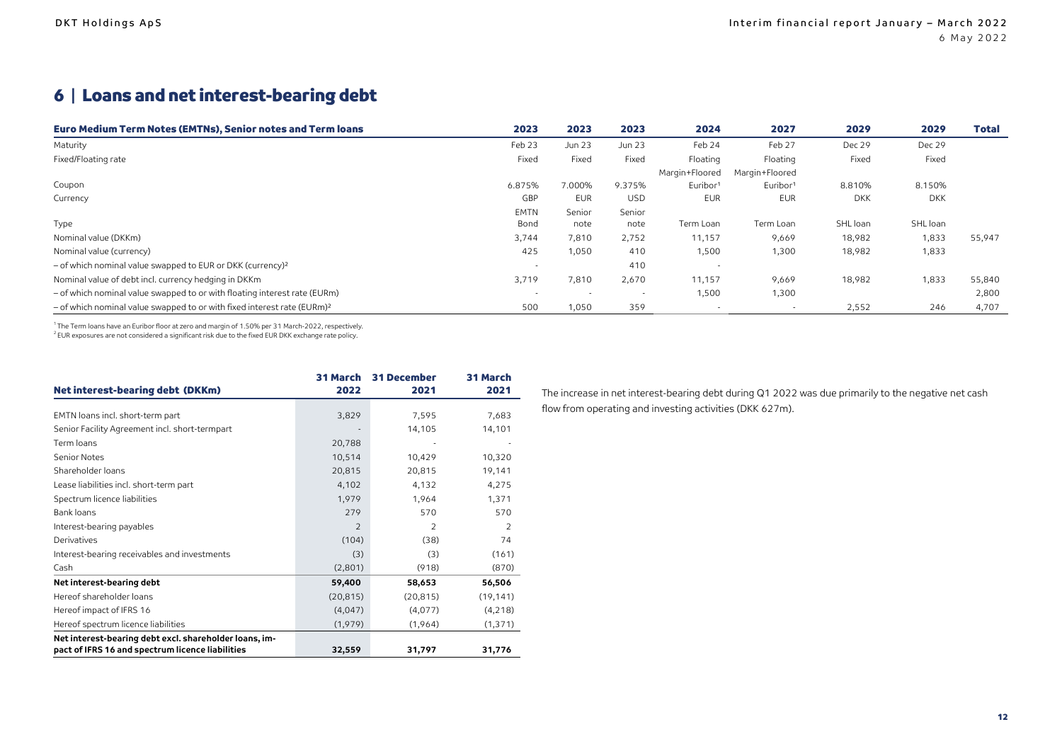## 6 | Loans and net interest-bearing debt

| <b>Euro Medium Term Notes (EMTNs), Senior notes and Term loans</b>                  | 2023                     | 2023                     | 2023       | 2024                 | 2027                     | 2029       | 2029       | Total  |
|-------------------------------------------------------------------------------------|--------------------------|--------------------------|------------|----------------------|--------------------------|------------|------------|--------|
| Maturity                                                                            | Feb 23                   | Jun 23                   | Jun 23     | Feb 24               | Feb 27                   | Dec 29     | Dec 29     |        |
| Fixed/Floating rate                                                                 | Fixed                    | Fixed                    | Fixed      | Floating             | Floating                 | Fixed      | Fixed      |        |
|                                                                                     |                          |                          |            | Margin+Floored       | Margin+Floored           |            |            |        |
| Coupon                                                                              | 6.875%                   | 7.000%                   | 9.375%     | Euribor <sup>1</sup> | Euribor <sup>1</sup>     | 8.810%     | 8.150%     |        |
| Currency                                                                            | GBP                      | <b>EUR</b>               | <b>USD</b> | <b>EUR</b>           | <b>EUR</b>               | <b>DKK</b> | <b>DKK</b> |        |
|                                                                                     | <b>EMTN</b>              | Senior                   | Senior     |                      |                          |            |            |        |
| Type                                                                                | Bond                     | note                     | note       | Term Loan            | Term Loan                | SHL loan   | SHL loan   |        |
| Nominal value (DKKm)                                                                | 3,744                    | 7,810                    | 2,752      | 11,157               | 9,669                    | 18,982     | 1,833      | 55,947 |
| Nominal value (currency)                                                            | 425                      | 1,050                    | 410        | 1,500                | 1,300                    | 18,982     | 1,833      |        |
| $-$ of which nominal value swapped to EUR or DKK (currency) <sup>2</sup>            | $\overline{\phantom{a}}$ |                          | 410        |                      |                          |            |            |        |
| Nominal value of debt incl. currency hedging in DKKm                                | 3,719                    | 7,810                    | 2,670      | 11,157               | 9,669                    | 18,982     | 1,833      | 55,840 |
| - of which nominal value swapped to or with floating interest rate (EURm)           | $\sim$                   | $\overline{\phantom{a}}$ | $\sim$     | 1,500                | 1,300                    |            |            | 2,800  |
| - of which nominal value swapped to or with fixed interest rate (EURm) <sup>2</sup> | 500                      | 1,050                    | 359        |                      | $\overline{\phantom{a}}$ | 2,552      | 246        | 4,707  |

1 The Term loans have an Euribor floor at zero and margin of 1.50% per 31 March-2022, respectively.

<sup>2</sup> EUR exposures are not considered a significant risk due to the fixed EUR DKK exchange rate policy.

| Net interest-bearing debt (DKKm)                       | <b>31 March</b><br>2022 | <b>31 December</b><br>2021 | 31 March<br>2021 |
|--------------------------------------------------------|-------------------------|----------------------------|------------------|
|                                                        |                         |                            |                  |
| EMTN loans incl. short-term part                       | 3,829                   | 7,595                      | 7,683            |
| Senior Facility Agreement incl. short-termpart         |                         | 14,105                     | 14,101           |
| Term loans                                             | 20,788                  |                            |                  |
| Senior Notes                                           | 10,514                  | 10,429                     | 10,320           |
| Shareholder loans                                      | 20,815                  | 20,815                     | 19,141           |
| Lease liabilities incl. short-term part                | 4,102                   | 4,132                      | 4,275            |
| Spectrum licence liabilities                           | 1,979                   | 1,964                      | 1,371            |
| Bank loans                                             | 279                     | 570                        | 570              |
| Interest-bearing payables                              | $\overline{2}$          | $\overline{2}$             | $\overline{2}$   |
| <b>Derivatives</b>                                     | (104)                   | (38)                       | 74               |
| Interest-bearing receivables and investments           | (3)                     | (3)                        | (161)            |
| Cash                                                   | (2,801)                 | (918)                      | (870)            |
| Net interest-bearing debt                              | 59,400                  | 58,653                     | 56,506           |
| Hereof shareholder loans                               | (20, 815)               | (20, 815)                  | (19, 141)        |
| Hereof impact of IFRS 16                               | (4,047)                 | (4,077)                    | (4,218)          |
| Hereof spectrum licence liabilities                    | (1,979)                 | (1,964)                    | (1, 371)         |
| Net interest-bearing debt excl. shareholder loans, im- |                         |                            |                  |
| pact of IFRS 16 and spectrum licence liabilities       | 32,559                  | 31,797                     | 31,776           |

The increase in net interest-bearing debt during Q1 2022 was due primarily to the negative net cash flow from operating and investing activities (DKK 627m).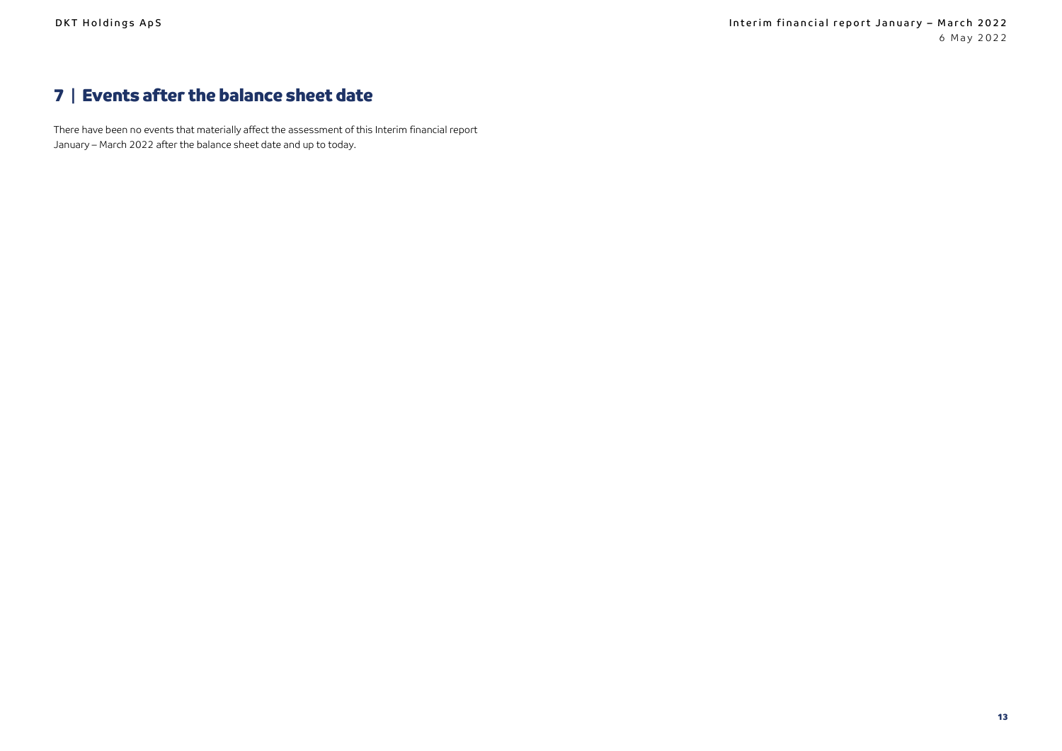## 7 | Events after the balance sheet date

There have been no events that materially affect the assessment of this Interim financial report January – March 2022 after the balance sheet date and up to today.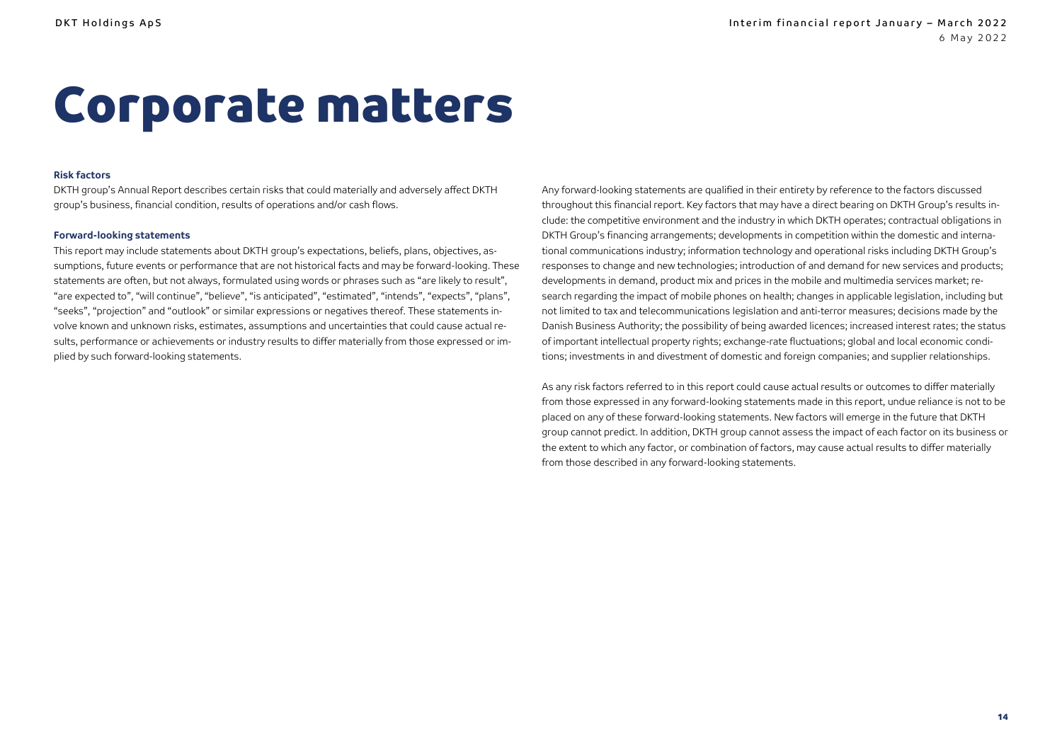# <span id="page-13-0"></span>Corporate matters

#### **Risk factors**

DKTH group's Annual Report describes certain risks that could materially and adversely affect DKTH group's business, financial condition, results of operations and/or cash flows.

#### **Forward-looking statements**

This report may include statements about DKTH group's expectations, beliefs, plans, objectives, assumptions, future events or performance that are not historical facts and may be forward-looking. These statements are often, but not always, formulated using words or phrases such as "are likely to result", "are expected to", "will continue", "believe", "is anticipated", "estimated", "intends", "expects", "plans", "seeks", "projection" and "outlook" or similar expressions or negatives thereof. These statements involve known and unknown risks, estimates, assumptions and uncertainties that could cause actual results, performance or achievements or industry results to differ materially from those expressed or implied by such forward-looking statements.

Any forward-looking statements are qualified in their entirety by reference to the factors discussed throughout this financial report. Key factors that may have a direct bearing on DKTH Group's results include: the competitive environment and the industry in which DKTH operates; contractual obligations in DKTH Group's financing arrangements; developments in competition within the domestic and international communications industry; information technology and operational risks including DKTH Group's responses to change and new technologies; introduction of and demand for new services and products; developments in demand, product mix and prices in the mobile and multimedia services market; research regarding the impact of mobile phones on health; changes in applicable legislation, including but not limited to tax and telecommunications legislation and anti-terror measures; decisions made by the Danish Business Authority; the possibility of being awarded licences; increased interest rates; the status of important intellectual property rights; exchange-rate fluctuations; global and local economic conditions; investments in and divestment of domestic and foreign companies; and supplier relationships.

As any risk factors referred to in this report could cause actual results or outcomes to differ materially from those expressed in any forward-looking statements made in this report, undue reliance is not to be placed on any of these forward-looking statements. New factors will emerge in the future that DKTH group cannot predict. In addition, DKTH group cannot assess the impact of each factor on its business or the extent to which any factor, or combination of factors, may cause actual results to differ materially from those described in any forward-looking statements.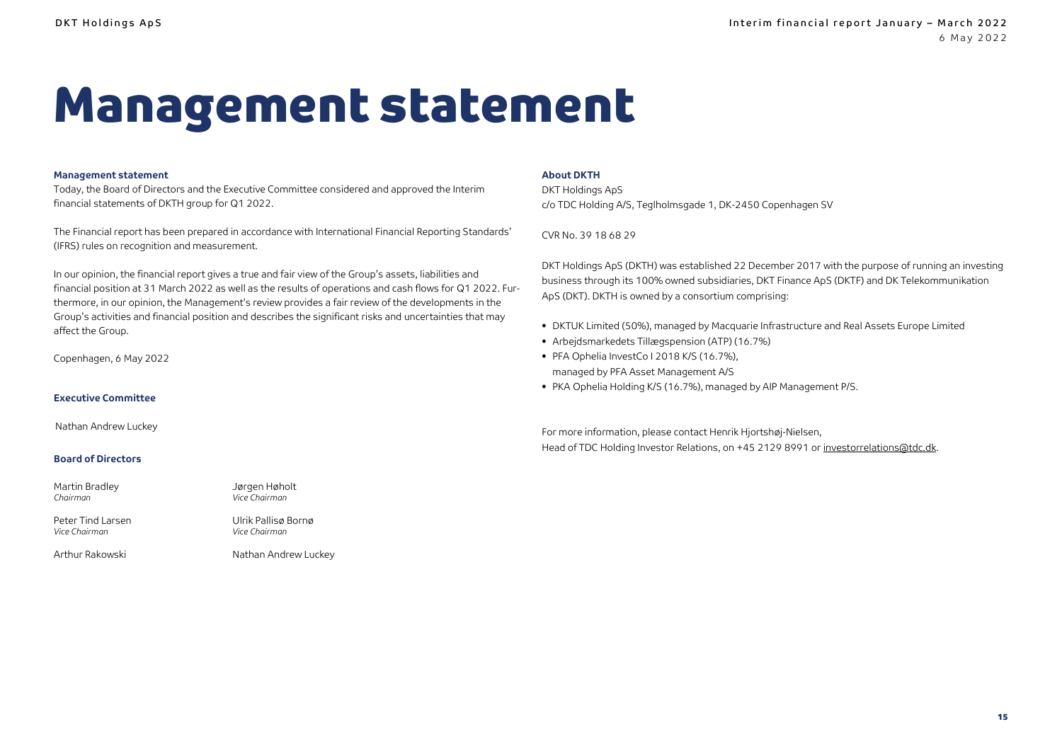# <span id="page-14-0"></span>Management statement

#### **Management statement**

Today, the Board of Directors and the Executive Committee considered and approved the Interim financial statements of DKTH group for Q1 2022.

The Financial report has been prepared in accordance with International Financial Reporting Standards' (IFRS) rules on recognition and measurement.

In our opinion, the financial report gives a true and fair view of the Group's assets, liabilities and financial position at 31 March 2022 as well as the results of operations and cash flows for Q1 2022. Furthermore, in our opinion, the Management's review provides a fair review of the developments in the Group's activities and financial position and describes the significant risks and uncertainties that may affect the Group.

> Jørgen Høholt *Vice Chairman*

Ulrik Pallisø Bornø *Vice Chairman*

Copenhagen, 6 May 2022

#### **Executive Committee**

Nathan Andrew Luckey

#### **Board of Directors**

| Martin Bradley |  |
|----------------|--|
| Chairman       |  |

Peter Tind Larsen *Vice Chairman*

Arthur Rakowski Nathan Andrew Luckey

**About DKTH**

DKT Holdings ApS c/o TDC Holding A/S, Teglholmsgade 1, DK-2450 Copenhagen SV

CVR No. 39 18 68 29

DKT Holdings ApS (DKTH) was established 22 December 2017 with the purpose of running an investing business through its 100% owned subsidiaries, DKT Finance ApS (DKTF) and DK Telekommunikation ApS (DKT). DKTH is owned by a consortium comprising:

- DKTUK Limited (50%), managed by Macquarie Infrastructure and Real Assets Europe Limited
- Arbejdsmarkedets Tillægspension (ATP) (16.7%)
- PFA Ophelia InvestCo I 2018 K/S (16.7%), managed by PFA Asset Management A/S
- PKA Ophelia Holding K/S (16.7%), managed by AIP Management P/S.

For more information, please contact Henrik Hjortshøj-Nielsen, Head of TDC Holding Investor Relations, on +45 2129 8991 o[r investorrelations@tdc.dk.](mailto:investorrelations@tdc.dk)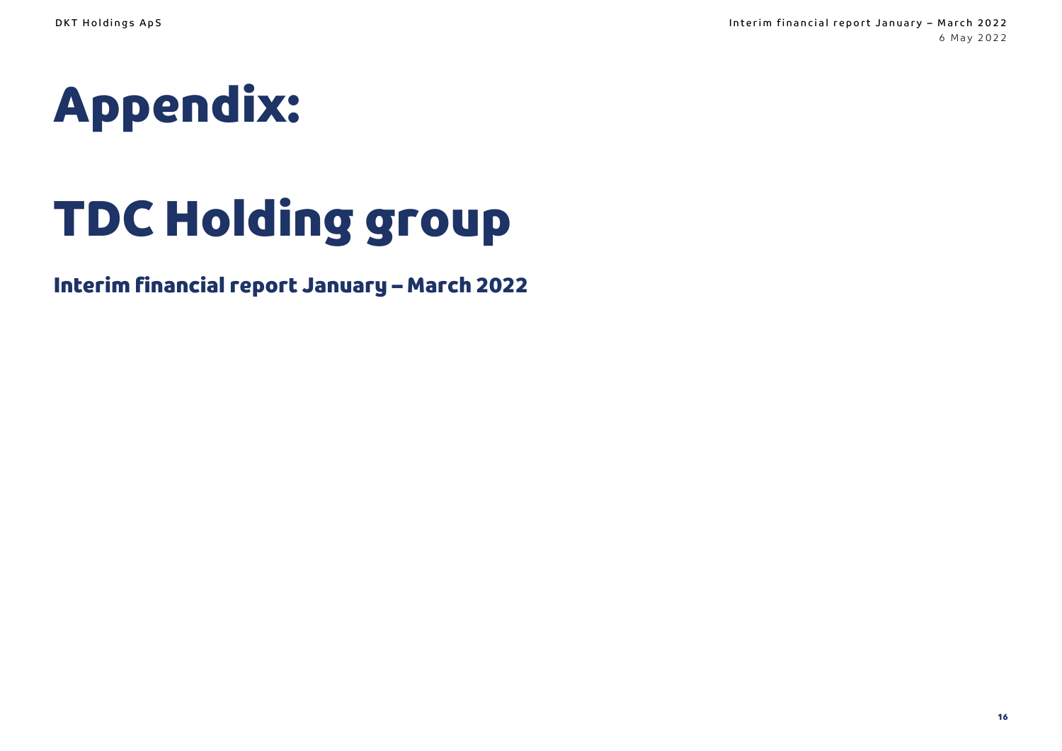<span id="page-15-0"></span>

# TDC Holding group

## Interim financial report January – March 2022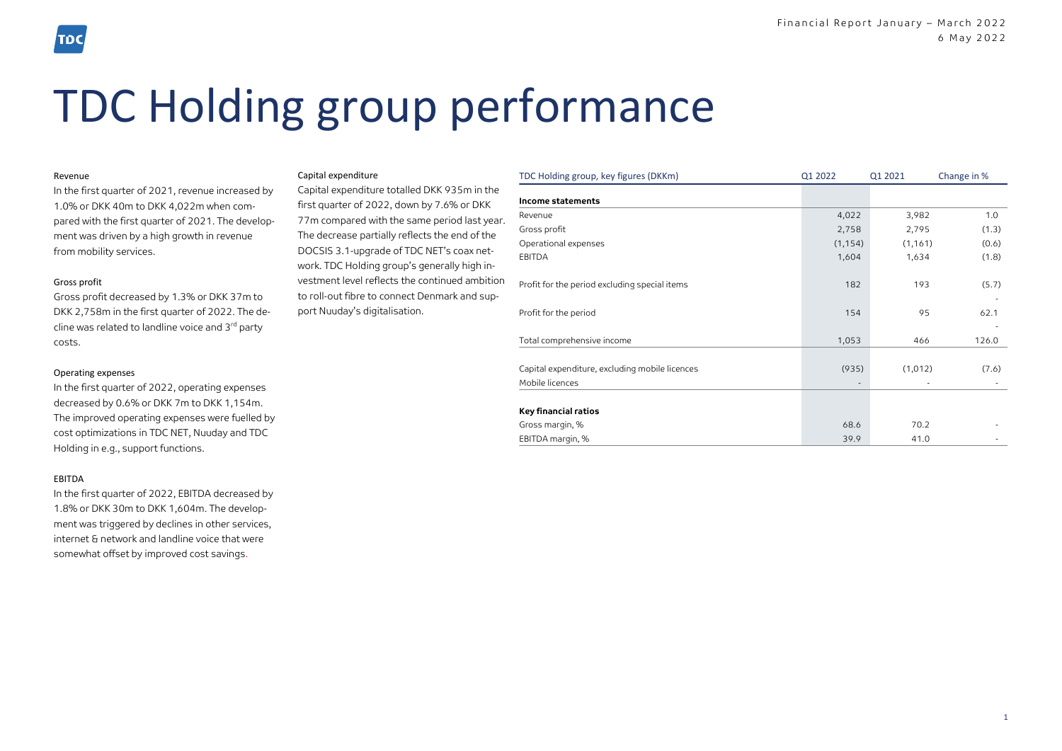## TDC Holding group performance

#### Revenue

In the first quarter of 2021, revenue increased by 1.0% or DKK 40m to DKK 4,022m when compared with the first quarter of 2021. The development was driven by a high growth in revenue from mobility services.

#### Gross profit

Gross profit decreased by 1.3% or DKK 37m to DKK 2,758m in the first quarter of 2022. The decline was related to landline voice and 3<sup>rd</sup> party costs.

#### Operating expenses

In the first quarter of 2022, operating expenses decreased by 0.6% or DKK 7m to DKK 1,154m. The improved operating expenses were fuelled by cost optimizations in TDC NET, Nuuday and TDC Holding in e.g., support functions.

#### EBITDA

In the first quarter of 2022, EBITDA decreased by 1.8% or DKK 30m to DKK 1,604m. The development was triggered by declines in other services, internet & network and landline voice that were somewhat offset by improved cost savings.

#### Capital expenditure

Capital expenditure totalled DKK 935m in the first quarter of 2022, down by 7.6% or DKK 77m compared with the same period last year. The decrease partially reflects the end of the DOCSIS 3.1-upgrade of TDC NET's coax network. TDC Holding group's generally high investment level reflects the continued ambition to roll-out fibre to connect Denmark and support Nuuday's digitalisation.

| TDC Holding group, key figures (DKKm)          | Q1 2022        | Q1 2021  | Change in % |
|------------------------------------------------|----------------|----------|-------------|
| Income statements                              |                |          |             |
| Revenue                                        | 4,022          | 3,982    | 1.0         |
| Gross profit                                   | 2,758          | 2,795    | (1.3)       |
| Operational expenses                           | (1, 154)       | (1, 161) | (0.6)       |
| EBITDA                                         | 1,604          | 1,634    | (1.8)       |
|                                                |                |          |             |
| Profit for the period excluding special items  | 182            | 193      | (5.7)       |
|                                                |                |          |             |
| Profit for the period                          | 154            | 95       | 62.1        |
|                                                |                |          |             |
| Total comprehensive income                     | 1,053          | 466      | 126.0       |
|                                                |                |          |             |
| Capital expenditure, excluding mobile licences | (935)          | (1,012)  | (7.6)       |
| Mobile licences                                | $\blacksquare$ |          |             |
|                                                |                |          |             |
| <b>Key financial ratios</b>                    |                |          |             |
| Gross margin, %                                | 68.6           | 70.2     |             |
| EBITDA margin, %                               | 39.9           | 41.0     |             |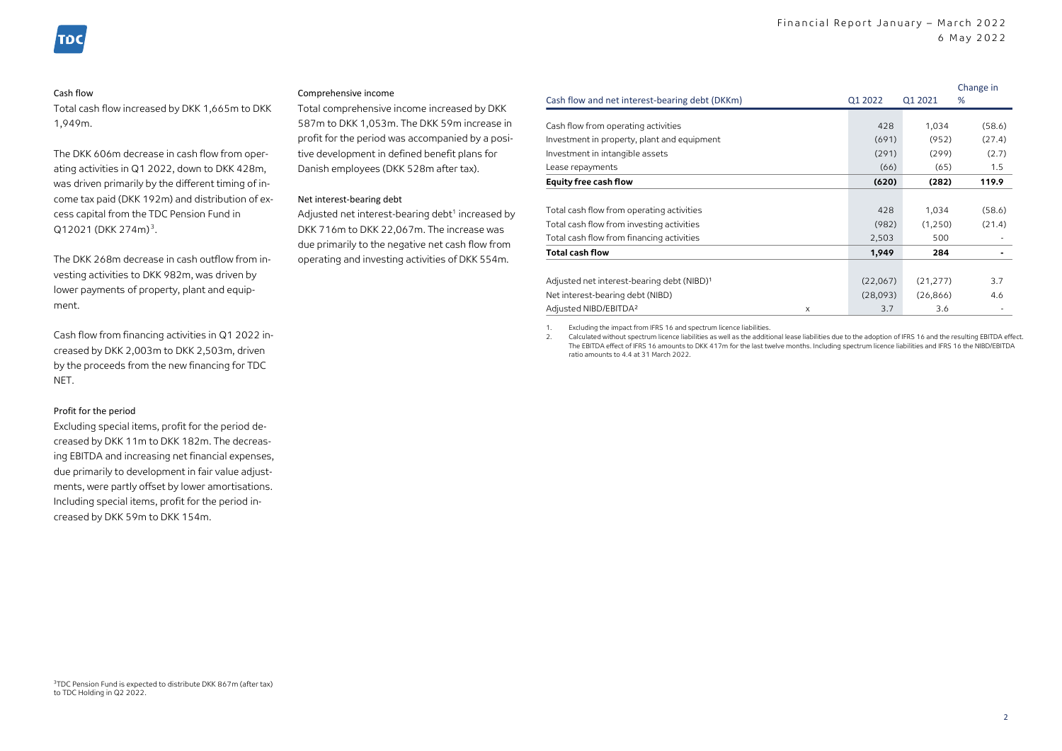#### Cash flow

Total cash flow increased by DKK 1,665m to DKK 1,949m.

The DKK 606m decrease in cash flow from operating activities in Q1 2022, down to DKK 428m, was driven primarily by the different timing of income tax paid (DKK 192m) and distribution of excess capital from the TDC Pension Fund in Q12021 (DKK 274m)<sup>3</sup>.

The DKK 268m decrease in cash outflow from investing activities to DKK 982m, was driven by lower payments of property, plant and equipment.

Cash flow from financing activities in Q1 2022 increased by DKK 2,003m to DKK 2,503m, driven by the proceeds from the new financing for TDC **NFT** 

#### Profit for the period

Excluding special items, profit for the period decreased by DKK 11m to DKK 182m. The decreasing EBITDA and increasing net financial expenses, due primarily to development in fair value adjustments, were partly offset by lower amortisations. Including special items, profit for the period increased by DKK 59m to DKK 154m.

#### Comprehensive income

Total comprehensive income increased by DKK 587m to DKK 1,053m. The DKK 59m increase in profit for the period was accompanied by a positive development in defined benefit plans for Danish employees (DKK 528m after tax).

#### Net interest-bearing debt

Adjusted net interest-bearing debt<sup>1</sup> increased by DKK 716m to DKK 22,067m. The increase was due primarily to the negative net cash flow from operating and investing activities of DKK 554m.

|                                                        |          |           | Change in |
|--------------------------------------------------------|----------|-----------|-----------|
| Cash flow and net interest-bearing debt (DKKm)         | Q1 2022  | 01 2021   | %         |
|                                                        |          |           |           |
| Cash flow from operating activities                    | 428      | 1,034     | (58.6)    |
| Investment in property, plant and equipment            | (691)    | (952)     | (27.4)    |
| Investment in intangible assets                        | (291)    | (299)     | (2.7)     |
| Lease repayments                                       | (66)     | (65)      | 1.5       |
| <b>Equity free cash flow</b>                           | (620)    | (282)     | 119.9     |
|                                                        |          |           |           |
| Total cash flow from operating activities              | 428      | 1,034     | (58.6)    |
| Total cash flow from investing activities              | (982)    | (1,250)   | (21.4)    |
| Total cash flow from financing activities              | 2,503    | 500       |           |
| <b>Total cash flow</b>                                 | 1,949    | 284       |           |
|                                                        |          |           |           |
| Adjusted net interest-bearing debt (NIBD) <sup>1</sup> | (22,067) | (21, 277) | 3.7       |
| Net interest-bearing debt (NIBD)                       | (28,093) | (26, 866) | 4.6       |
| Adjusted NIBD/EBITDA <sup>2</sup><br>X                 | 3.7      | 3.6       |           |

1. Excluding the impact from IFRS 16 and spectrum licence liabilities.

2. Calculated without spectrum licence liabilities as well as the additional lease liabilities due to the adoption of IFRS 16 and the resulting EBITDA effect. The EBITDA effect of IFRS 16 amounts to DKK 417m for the last twelve months. Including spectrum licence liabilities and IFRS 16 the NIBD/EBITDA ratio amounts to 4.4 at 31 March 2022.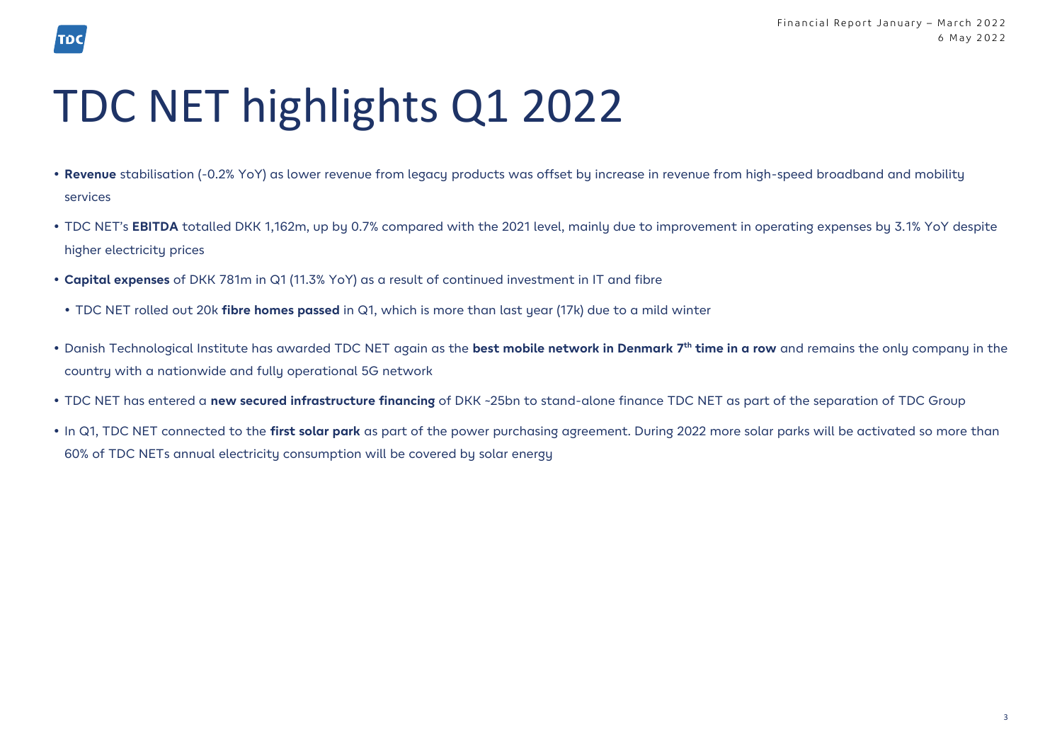# TDC NET highlights Q1 2022

TDC

- **Revenue** stabilisation (-0.2% YoY) as lower revenue from legacy products was offset by increase in revenue from high-speed broadband and mobility services
- TDC NET's **EBITDA** totalled DKK 1,162m, up by 0.7% compared with the 2021 level, mainly due to improvement in operating expenses by 3.1% YoY despite higher electricity prices
- **Capital expenses** of DKK 781m in Q1 (11.3% YoY) as a result of continued investment in IT and fibre
- TDC NET rolled out 20k **fibre homes passed** in Q1, which is more than last year (17k) due to a mild winter
- Danish Technological Institute has awarded TDC NET again as the **best mobile network in Denmark 7 th time in a row** and remains the only company in the country with a nationwide and fully operational 5G network
- TDC NET has entered a **new secured infrastructure financing** of DKK ~25bn to stand-alone finance TDC NET as part of the separation of TDC Group
- In Q1, TDC NET connected to the **first solar park** as part of the power purchasing agreement. During 2022 more solar parks will be activated so more than 60% of TDC NETs annual electricity consumption will be covered by solar energy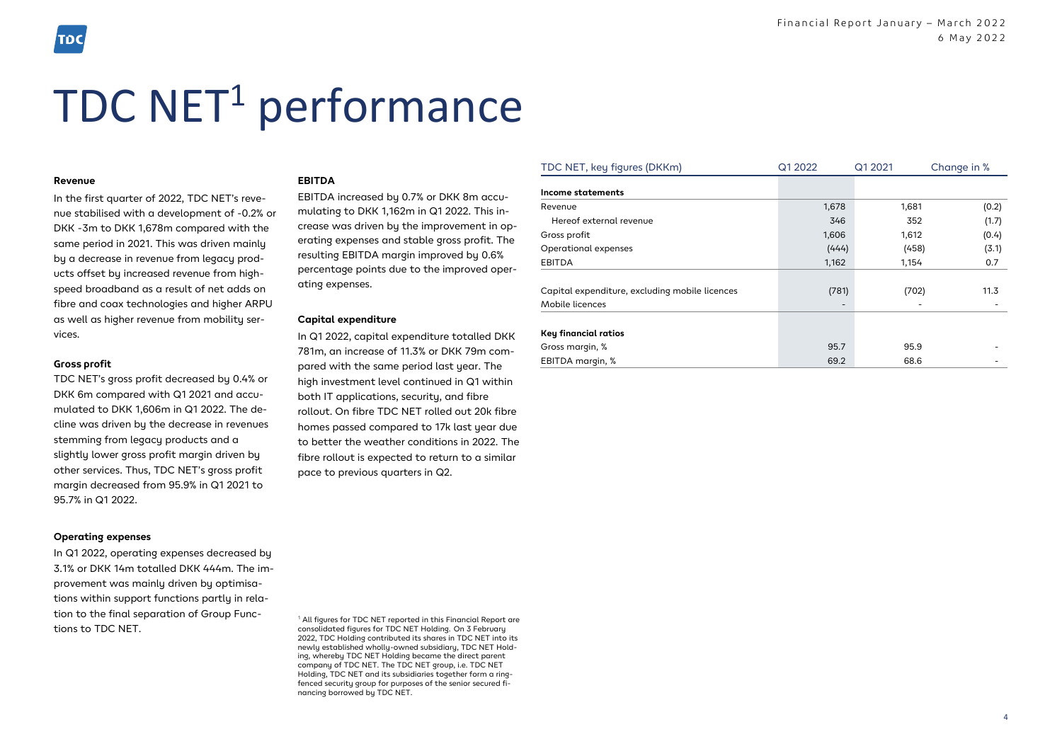#### **Revenue**

In the first quarter of 2022, TDC NET's revenue stabilised with a development of -0.2% or DKK -3m to DKK 1,678m compared with the same period in 2021. This was driven mainly by a decrease in revenue from legacy products offset by increased revenue from highspeed broadband as a result of net adds on fibre and coax technologies and higher ARPU as well as higher revenue from mobility services.

#### **Gross profit**

TDC NET's gross profit decreased by 0.4% or DKK 6m compared with Q1 2021 and accumulated to DKK 1,606m in Q1 2022. The decline was driven by the decrease in revenues stemming from legacy products and a slightly lower gross profit margin driven by other services. Thus, TDC NET's gross profit margin decreased from 95.9% in Q1 2021 to 95.7% in Q1 2022.

#### **Operating expenses**

In Q1 2022, operating expenses decreased by 3.1% or DKK 14m totalled DKK 444m. The improvement was mainly driven by optimisations within support functions partly in relation to the final separation of Group Functions to TDC NET.

#### **EBITDA**

EBITDA increased by 0.7% or DKK 8m accumulating to DKK 1,162m in Q1 2022. This increase was driven by the improvement in operating expenses and stable gross profit. The resulting EBITDA margin improved by 0.6% percentage points due to the improved operating expenses.

#### **Capital expenditure**

In Q1 2022, capital expenditure totalled DKK 781m, an increase of 11.3% or DKK 79m compared with the same period last year. The high investment level continued in Q1 within both IT applications, security, and fibre rollout. On fibre TDC NET rolled out 20k fibre homes passed compared to 17k last year due to better the weather conditions in 2022. The fibre rollout is expected to return to a similar pace to previous quarters in Q2.

<sup>1</sup> All figures for TDC NET reported in this Financial Report are consolidated figures for TDC NET Holding. On 3 February 2022, TDC Holding contributed its shares in TDC NET into its newly established wholly-owned subsidiary, TDC NET Holding, whereby TDC NET Holding became the direct parent company of TDC NET. The TDC NET group, i.e. TDC NET Holding, TDC NET and its subsidiaries together form a ringfenced security group for purposes of the senior secured financing borrowed by TDC NET.

| Income statements<br>1,678<br>1,681<br>(0.2)<br>Revenue<br>Hereof external revenue<br>352<br>(1.7)<br>346<br>1,606<br>Gross profit<br>1,612<br>(0.4)<br>(3.1)<br>Operational expenses<br>(444)<br>(458)<br><b>EBITDA</b><br>1,162<br>0.7<br>1,154<br>Capital expenditure, excluding mobile licences<br>(781)<br>(702)<br>11.3<br>Mobile licences<br>Key financial ratios<br>95.7<br>Gross margin, %<br>95.9<br>EBITDA margin, %<br>69.2<br>68.6 | TDC NET, key figures (DKKm) | Q1 2022 | Q1 2021 | Change in % |
|-------------------------------------------------------------------------------------------------------------------------------------------------------------------------------------------------------------------------------------------------------------------------------------------------------------------------------------------------------------------------------------------------------------------------------------------------|-----------------------------|---------|---------|-------------|
|                                                                                                                                                                                                                                                                                                                                                                                                                                                 |                             |         |         |             |
|                                                                                                                                                                                                                                                                                                                                                                                                                                                 |                             |         |         |             |
|                                                                                                                                                                                                                                                                                                                                                                                                                                                 |                             |         |         |             |
|                                                                                                                                                                                                                                                                                                                                                                                                                                                 |                             |         |         |             |
|                                                                                                                                                                                                                                                                                                                                                                                                                                                 |                             |         |         |             |
|                                                                                                                                                                                                                                                                                                                                                                                                                                                 |                             |         |         |             |
|                                                                                                                                                                                                                                                                                                                                                                                                                                                 |                             |         |         |             |
|                                                                                                                                                                                                                                                                                                                                                                                                                                                 |                             |         |         |             |
|                                                                                                                                                                                                                                                                                                                                                                                                                                                 |                             |         |         |             |
|                                                                                                                                                                                                                                                                                                                                                                                                                                                 |                             |         |         |             |
|                                                                                                                                                                                                                                                                                                                                                                                                                                                 |                             |         |         |             |
|                                                                                                                                                                                                                                                                                                                                                                                                                                                 |                             |         |         |             |
|                                                                                                                                                                                                                                                                                                                                                                                                                                                 |                             |         |         |             |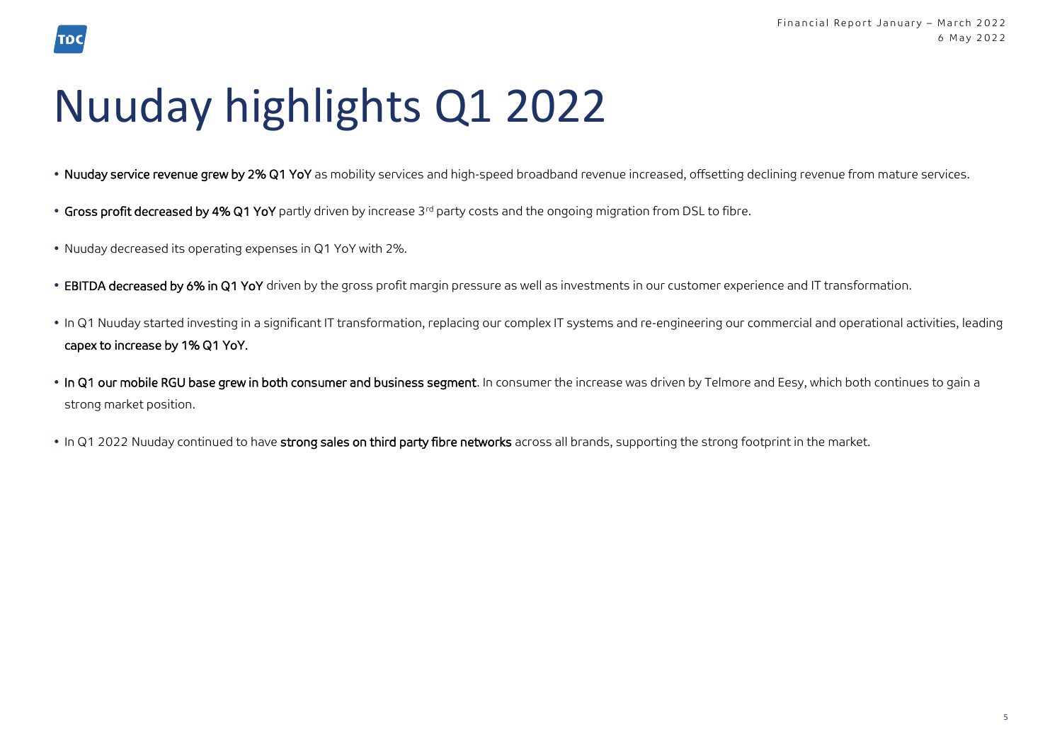# Nuuday highlights Q1 2022

- . Nuuday service revenue grew by 2% Q1 YoY as mobility services and high-speed broadband revenue increased, offsetting declining revenue from mature services.
- Gross profit decreased by 4% Q1 YoY partly driven by increase 3<sup>rd</sup> party costs and the ongoing migration from DSL to fibre.
- Nuuday decreased its operating expenses in Q1 YoY with 2%.

TDC

- EBITDA decreased by 6% in Q1 YoY driven by the gross profit margin pressure as well as investments in our customer experience and IT transformation.
- In Q1 Nuuday started investing in a significant IT transformation, replacing our complex IT systems and re-engineering our commercial and operational activities, leading capex to increase by 1% Q1 YoY.
- In Q1 our mobile RGU base grew in both consumer and business segment. In consumer the increase was driven by Telmore and Eesy, which both continues to gain a strong market position.
- In Q1 2022 Nuuday continued to have strong sales on third party fibre networks across all brands, supporting the strong footprint in the market.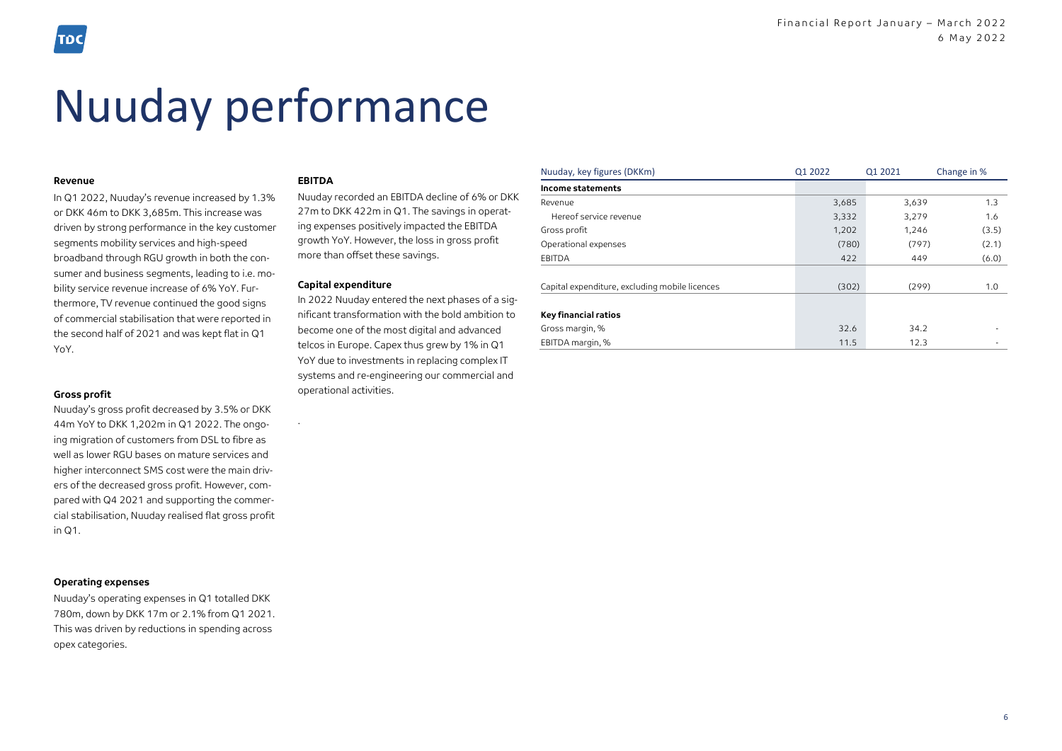## Nuuday performance

#### **Revenue**

In Q1 2022, Nuuday's revenue increased by 1.3% or DKK 46m to DKK 3,685m. This increase was driven by strong performance in the key customer segments mobility services and high-speed broadband through RGU growth in both the consumer and business segments, leading to i.e. mobility service revenue increase of 6% YoY. Furthermore, TV revenue continued the good signs of commercial stabilisation that were reported in the second half of 2021 and was kept flat in Q1 YoY.

#### **Gross profit**

Nuuday's gross profit decreased by 3.5% or DKK 44m YoY to DKK 1,202m in Q1 2022. The ongoing migration of customers from DSL to fibre as well as lower RGU bases on mature services and higher interconnect SMS cost were the main drivers of the decreased gross profit. However, compared with Q4 2021 and supporting the commercial stabilisation, Nuuday realised flat gross profit in Q1.

#### **Operating expenses**

Nuuday's operating expenses in Q1 totalled DKK 780m, down by DKK 17m or 2.1% from Q1 2021. This was driven by reductions in spending across opex categories.

#### **EBITDA**

.

Nuuday recorded an EBITDA decline of 6% or DKK 27m to DKK 422m in Q1. The savings in operating expenses positively impacted the EBITDA growth YoY. However, the loss in gross profit more than offset these savings.

#### **Capital expenditure**

In 2022 Nuuday entered the next phases of a significant transformation with the bold ambition to become one of the most digital and advanced telcos in Europe. Capex thus grew by 1% in Q1 YoY due to investments in replacing complex IT systems and re-engineering our commercial and operational activities.

| Nuuday, key figures (DKKm)                     | Q1 2022 | Q1 2021 | Change in % |  |
|------------------------------------------------|---------|---------|-------------|--|
| Income statements                              |         |         |             |  |
| Revenue                                        | 3,685   | 3,639   | 1.3         |  |
| Hereof service revenue                         | 3,332   | 3,279   | 1.6         |  |
| Gross profit                                   | 1,202   | 1,246   | (3.5)       |  |
| Operational expenses                           | (780)   | (797)   | (2.1)       |  |
| <b>EBITDA</b>                                  | 422     | 449     | (6.0)       |  |
|                                                |         |         |             |  |
| Capital expenditure, excluding mobile licences | (302)   | (299)   | 1.0         |  |
|                                                |         |         |             |  |
| <b>Key financial ratios</b>                    |         |         |             |  |
| Gross margin, %                                | 32.6    | 34.2    |             |  |
| EBITDA margin, %                               | 11.5    | 12.3    |             |  |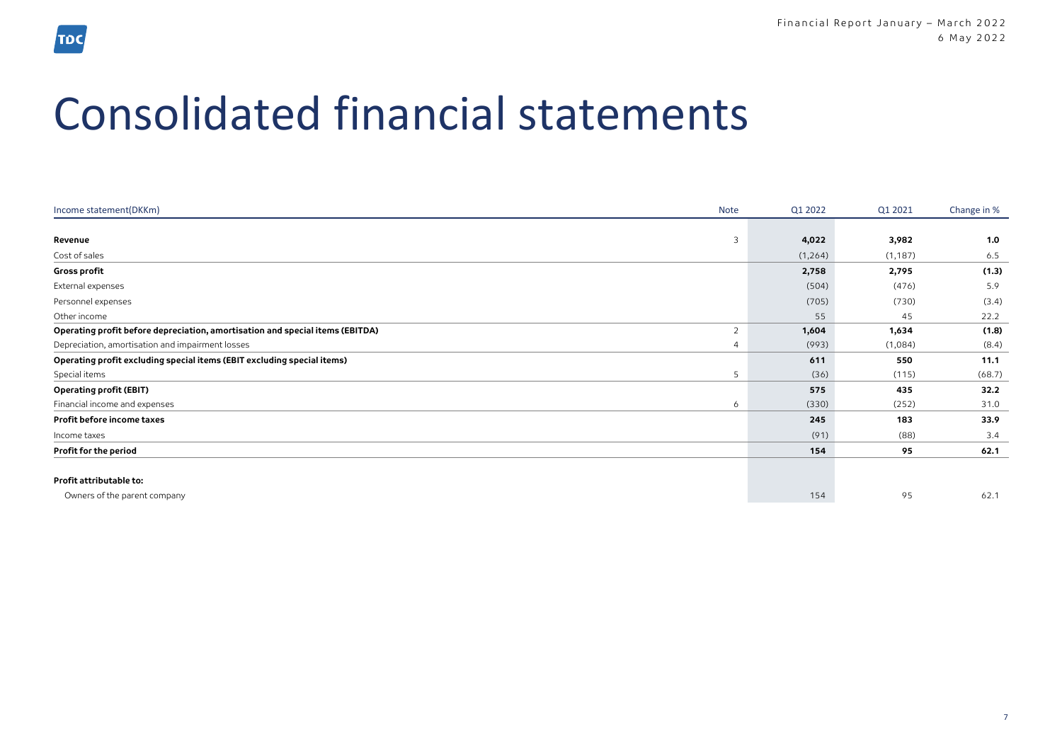## Consolidated financial statements

| Income statement(DKKm)                                                        | Note           | Q1 2022  | Q1 2021  | Change in % |
|-------------------------------------------------------------------------------|----------------|----------|----------|-------------|
|                                                                               |                |          |          |             |
| Revenue                                                                       | 3              | 4,022    | 3,982    | 1.0         |
| Cost of sales                                                                 |                | (1, 264) | (1, 187) | 6.5         |
| Gross profit                                                                  |                | 2,758    | 2,795    | (1.3)       |
| External expenses                                                             |                | (504)    | (476)    | 5.9         |
| Personnel expenses                                                            |                | (705)    | (730)    | (3.4)       |
| Other income                                                                  |                | 55       | 45       | 22.2        |
| Operating profit before depreciation, amortisation and special items (EBITDA) | $\overline{2}$ | 1,604    | 1,634    | (1.8)       |
| Depreciation, amortisation and impairment losses                              |                | (993)    | (1,084)  | (8.4)       |
| Operating profit excluding special items (EBIT excluding special items)       |                | 611      | 550      | 11.1        |
| Special items                                                                 | 5              | (36)     | (115)    | (68.7)      |
| <b>Operating profit (EBIT)</b>                                                |                | 575      | 435      | 32.2        |
| Financial income and expenses                                                 | 6              | (330)    | (252)    | 31.0        |
| Profit before income taxes                                                    |                | 245      | 183      | 33.9        |
| Income taxes                                                                  |                | (91)     | (88)     | 3.4         |
| Profit for the period                                                         |                | 154      | 95       | 62.1        |
| Profit attributable to:                                                       |                |          |          |             |
| Owners of the parent company                                                  |                | 154      | 95       | 62.1        |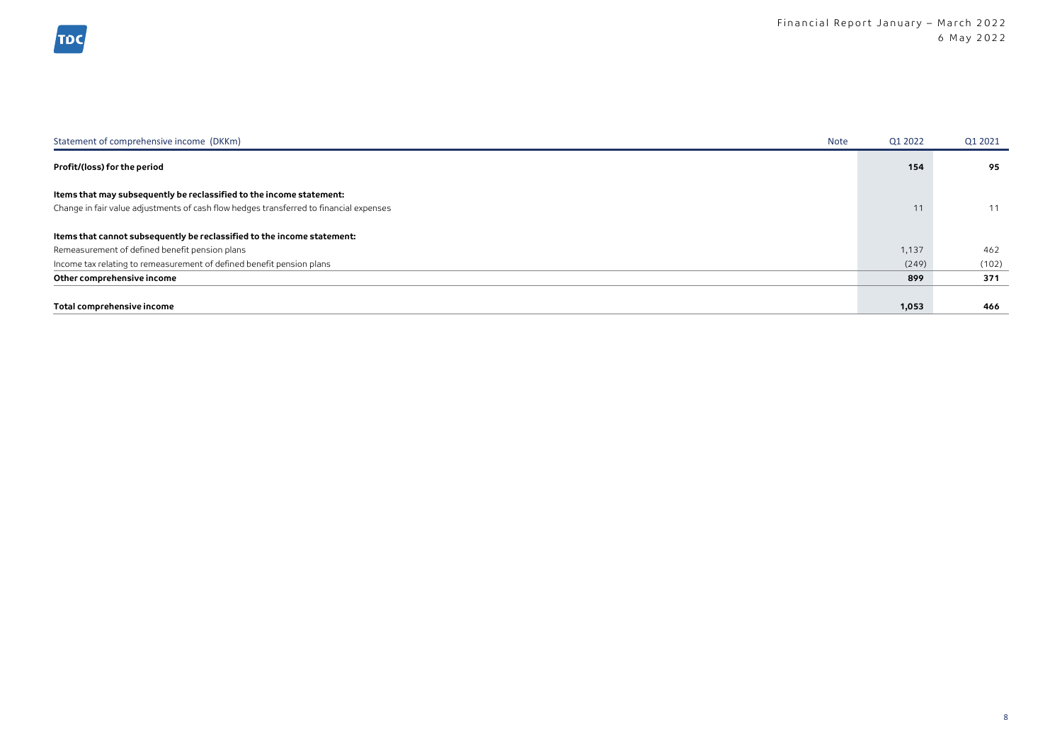| Statement of comprehensive income (DKKm)<br><b>Note</b>                                | Q1 2022 | Q1 2021 |
|----------------------------------------------------------------------------------------|---------|---------|
| Profit/(loss) for the period                                                           | 154     | 95      |
| Items that may subsequently be reclassified to the income statement:                   |         |         |
| Change in fair value adjustments of cash flow hedges transferred to financial expenses | 11      | 11      |
| Items that cannot subsequently be reclassified to the income statement:                |         |         |
| Remeasurement of defined benefit pension plans                                         | 1,137   | 462     |
| Income tax relating to remeasurement of defined benefit pension plans                  | (249)   | (102)   |
| Other comprehensive income                                                             | 899     | 371     |
| Total comprehensive income                                                             | 1,053   | 466     |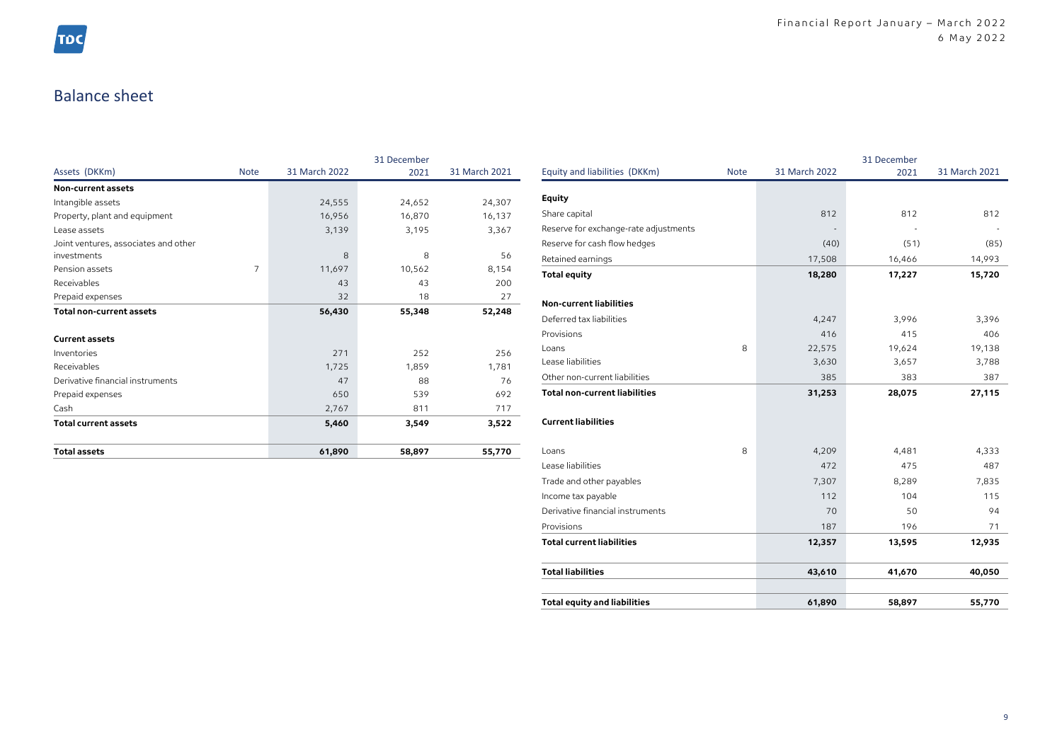## Balance sheet

|                                                     |             |               | 31 December |               |
|-----------------------------------------------------|-------------|---------------|-------------|---------------|
| Assets (DKKm)                                       | <b>Note</b> | 31 March 2022 | 2021        | 31 March 2021 |
| Non-current assets                                  |             |               |             |               |
| Intangible assets                                   |             | 24,555        | 24,652      | 24,307        |
| Property, plant and equipment                       |             | 16,956        | 16,870      | 16,137        |
| Lease assets                                        |             | 3,139         | 3,195       | 3,367         |
| Joint ventures, associates and other<br>investments |             | 8             | 8           | 56            |
| Pension assets                                      | 7           | 11,697        | 10,562      | 8,154         |
| Receivables                                         |             | 43            | 43          | 200           |
| Prepaid expenses                                    |             | 32            | 18          | 27            |
| <b>Total non-current assets</b>                     |             | 56,430        | 55,348      | 52,248        |
| <b>Current assets</b>                               |             |               |             |               |
| Inventories                                         |             | 271           | 252         | 256           |
| Receivables                                         |             | 1,725         | 1,859       | 1,781         |
| Derivative financial instruments                    |             | 47            | 88          | 76            |
| Prepaid expenses                                    |             | 650           | 539         | 692           |
| Cash                                                |             | 2,767         | 811         | 717           |
| <b>Total current assets</b>                         |             | 5,460         | 3,549       | 3,522         |
| <b>Total assets</b>                                 |             | 61,890        | 58,897      | 55,770        |

|                                       |             |               | 31 December |               |
|---------------------------------------|-------------|---------------|-------------|---------------|
| Equity and liabilities (DKKm)         | <b>Note</b> | 31 March 2022 | 2021        | 31 March 2021 |
| Equity                                |             |               |             |               |
| Share capital                         |             | 812           | 812         | 812           |
| Reserve for exchange-rate adjustments |             |               |             |               |
| Reserve for cash flow hedges          |             | (40)          | (51)        | (85)          |
| Retained earnings                     |             | 17,508        | 16,466      | 14,993        |
| <b>Total equity</b>                   |             | 18,280        | 17,227      | 15,720        |
| <b>Non-current liabilities</b>        |             |               |             |               |
| Deferred tax liabilities              |             | 4,247         | 3,996       | 3,396         |
| Provisions                            |             | 416           | 415         | 406           |
| Loans                                 | 8           | 22,575        | 19,624      | 19,138        |
| Lease liabilities                     |             | 3,630         | 3,657       | 3,788         |
| Other non-current liabilities         |             | 385           | 383         | 387           |
| <b>Total non-current liabilities</b>  |             | 31,253        | 28,075      | 27,115        |
| <b>Current liabilities</b>            |             |               |             |               |
| Loans                                 | 8           | 4,209         | 4,481       | 4,333         |
| Lease liabilities                     |             | 472           | 475         | 487           |
| Trade and other payables              |             | 7,307         | 8,289       | 7,835         |
| Income tax payable                    |             | 112           | 104         | 115           |
| Derivative financial instruments      |             | 70            | 50          | 94            |
| Provisions                            |             | 187           | 196         | 71            |
| <b>Total current liabilities</b>      |             | 12,357        | 13,595      | 12,935        |
| <b>Total liabilities</b>              |             | 43,610        | 41,670      | 40,050        |
| <b>Total equity and liabilities</b>   |             | 61,890        | 58,897      | 55,770        |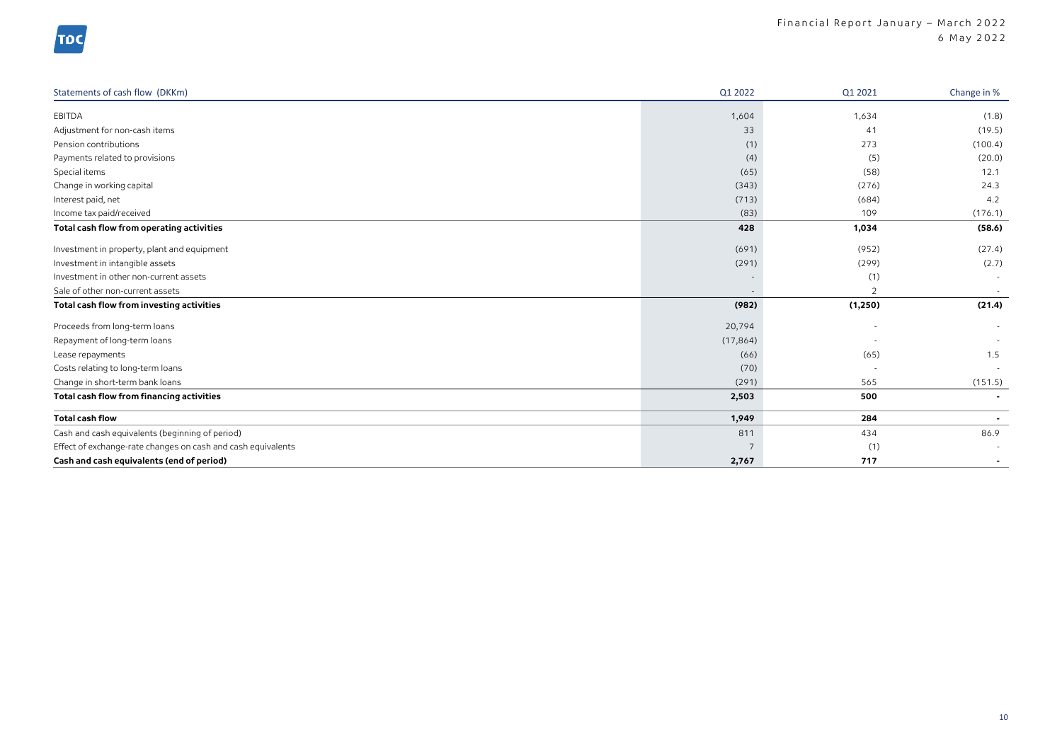| Statements of cash flow (DKKm)                               | Q1 2022   | Q1 2021        | Change in %    |
|--------------------------------------------------------------|-----------|----------------|----------------|
| EBITDA                                                       | 1,604     | 1,634          | (1.8)          |
| Adjustment for non-cash items                                | 33        | 41             | (19.5)         |
| Pension contributions                                        | (1)       | 273            | (100.4)        |
| Payments related to provisions                               | (4)       | (5)            | (20.0)         |
| Special items                                                | (65)      | (58)           | 12.1           |
| Change in working capital                                    | (343)     | (276)          | 24.3           |
| Interest paid, net                                           | (713)     | (684)          | 4.2            |
| Income tax paid/received                                     | (83)      | 109            | (176.1)        |
| Total cash flow from operating activities                    | 428       | 1,034          | (58.6)         |
| Investment in property, plant and equipment                  | (691)     | (952)          | (27.4)         |
| Investment in intangible assets                              | (291)     | (299)          | (2.7)          |
| Investment in other non-current assets                       |           | (1)            | $\sim$         |
| Sale of other non-current assets                             |           | $\overline{2}$ | $\sim$         |
| Total cash flow from investing activities                    | (982)     | (1,250)        | (21.4)         |
| Proceeds from long-term loans                                | 20,794    |                | $\sim$         |
| Repayment of long-term loans                                 | (17, 864) |                |                |
| Lease repayments                                             | (66)      | (65)           | 1.5            |
| Costs relating to long-term loans                            | (70)      |                |                |
| Change in short-term bank loans                              | (291)     | 565            | (151.5)        |
| Total cash flow from financing activities                    | 2,503     | 500            | $\blacksquare$ |
| <b>Total cash flow</b>                                       | 1,949     | 284            | $\blacksquare$ |
| Cash and cash equivalents (beginning of period)              | 811       | 434            | 86.9           |
| Effect of exchange-rate changes on cash and cash equivalents |           | (1)            |                |
| Cash and cash equivalents (end of period)                    | 2,767     | 717            | $\blacksquare$ |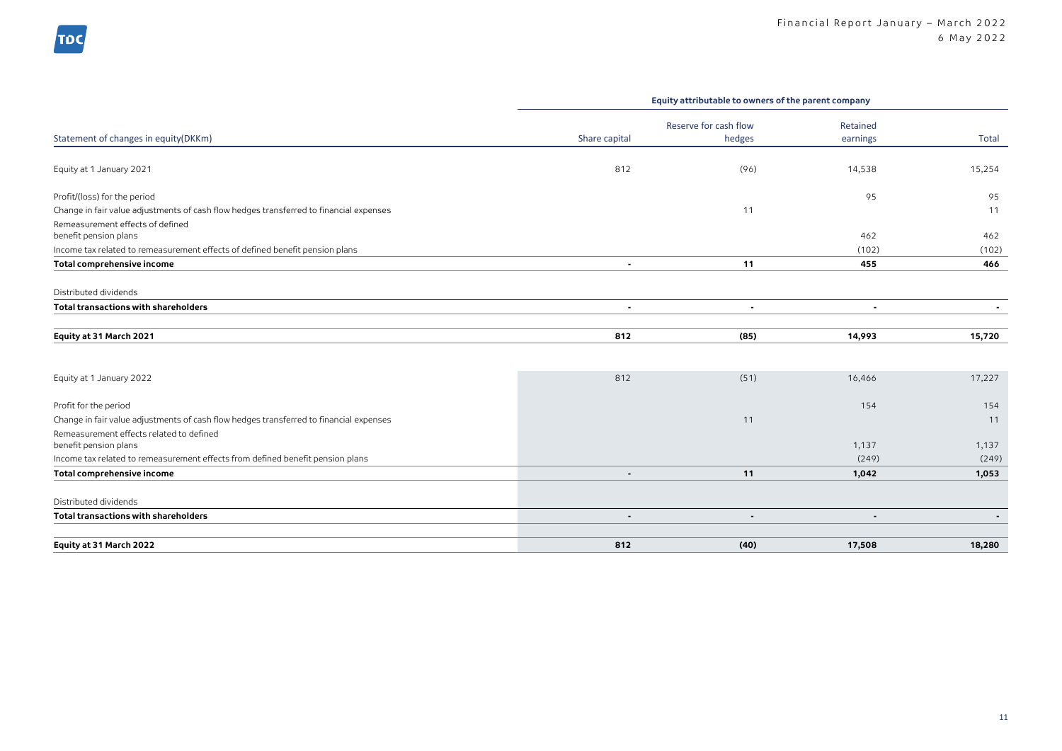|                                                                                                                                                             | Equity attributable to owners of the parent company |                                 |                      |                |  |  |
|-------------------------------------------------------------------------------------------------------------------------------------------------------------|-----------------------------------------------------|---------------------------------|----------------------|----------------|--|--|
| Statement of changes in equity(DKKm)                                                                                                                        | Share capital                                       | Reserve for cash flow<br>hedges | Retained<br>earnings | Total          |  |  |
| Equity at 1 January 2021                                                                                                                                    | 812                                                 | (96)                            | 14,538               | 15,254         |  |  |
| Profit/(loss) for the period                                                                                                                                |                                                     |                                 | 95                   | 95             |  |  |
| Change in fair value adjustments of cash flow hedges transferred to financial expenses                                                                      |                                                     | 11                              |                      | 11             |  |  |
| Remeasurement effects of defined<br>benefit pension plans                                                                                                   |                                                     |                                 | 462                  | 462            |  |  |
| Income tax related to remeasurement effects of defined benefit pension plans                                                                                |                                                     |                                 | (102)                | (102)          |  |  |
| Total comprehensive income                                                                                                                                  | $\blacksquare$                                      | 11                              | 455                  | 466            |  |  |
| Distributed dividends                                                                                                                                       |                                                     |                                 |                      |                |  |  |
| <b>Total transactions with shareholders</b>                                                                                                                 | $\blacksquare$                                      | $\blacksquare$                  | $\blacksquare$       | $\blacksquare$ |  |  |
| Equity at 31 March 2021                                                                                                                                     | 812                                                 | (85)                            | 14,993               | 15,720         |  |  |
| Equity at 1 January 2022                                                                                                                                    | 812                                                 | (51)                            | 16,466               | 17,227         |  |  |
| Profit for the period                                                                                                                                       |                                                     |                                 | 154                  | 154            |  |  |
| Change in fair value adjustments of cash flow hedges transferred to financial expenses<br>Remeasurement effects related to defined<br>benefit pension plans |                                                     | 11                              | 1,137                | 11<br>1,137    |  |  |
| Income tax related to remeasurement effects from defined benefit pension plans                                                                              |                                                     |                                 | (249)                | (249)          |  |  |
| Total comprehensive income                                                                                                                                  | $\blacksquare$                                      | 11                              | 1,042                | 1,053          |  |  |
| Distributed dividends                                                                                                                                       |                                                     |                                 |                      |                |  |  |
| <b>Total transactions with shareholders</b>                                                                                                                 | $\overline{a}$                                      |                                 | $\overline{a}$       |                |  |  |
| Equity at 31 March 2022                                                                                                                                     | 812                                                 | (40)                            | 17,508               | 18,280         |  |  |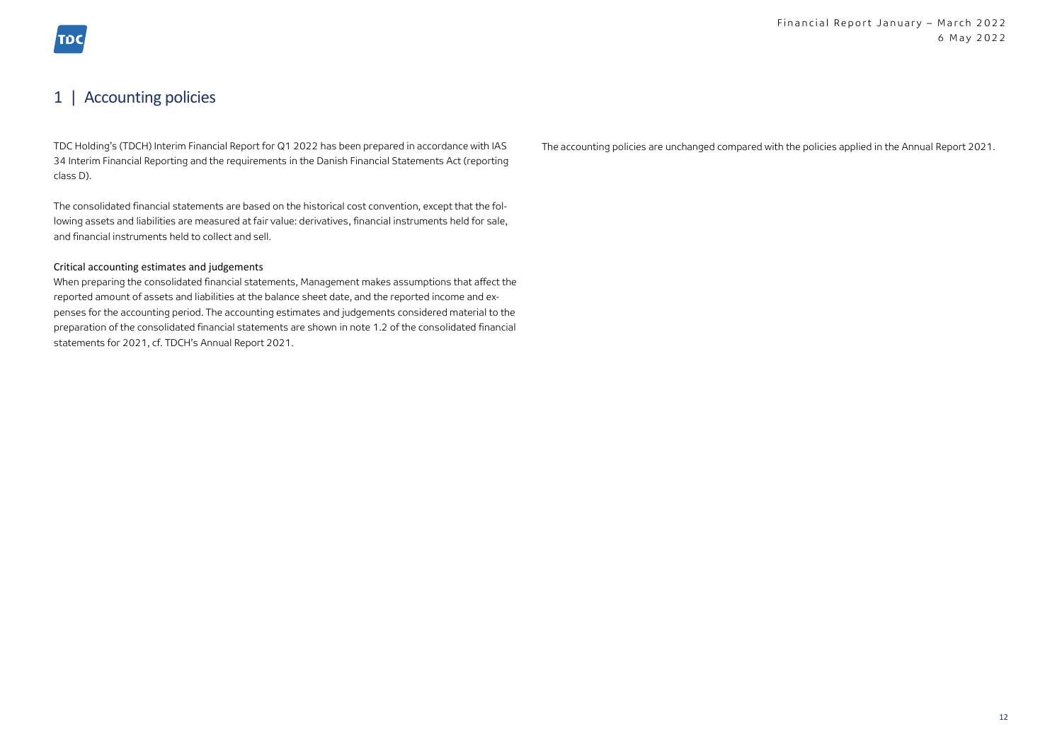### 1 | Accounting policies

TDC Holding's (TDCH) Interim Financial Report for Q1 2022 has been prepared in accordance with IAS 34 Interim Financial Reporting and the requirements in the Danish Financial Statements Act (reporting class D).

The consolidated financial statements are based on the historical cost convention, except that the following assets and liabilities are measured at fair value: derivatives, financial instruments held for sale, and financial instruments held to collect and sell.

#### Critical accounting estimates and judgements

When preparing the consolidated financial statements, Management makes assumptions that affect the reported amount of assets and liabilities at the balance sheet date, and the reported income and expenses for the accounting period. The accounting estimates and judgements considered material to the preparation of the consolidated financial statements are shown in note 1.2 of the consolidated financial statements for 2021, cf. TDCH's Annual Report 2021.

The accounting policies are unchanged compared with the policies applied in the Annual Report 2021.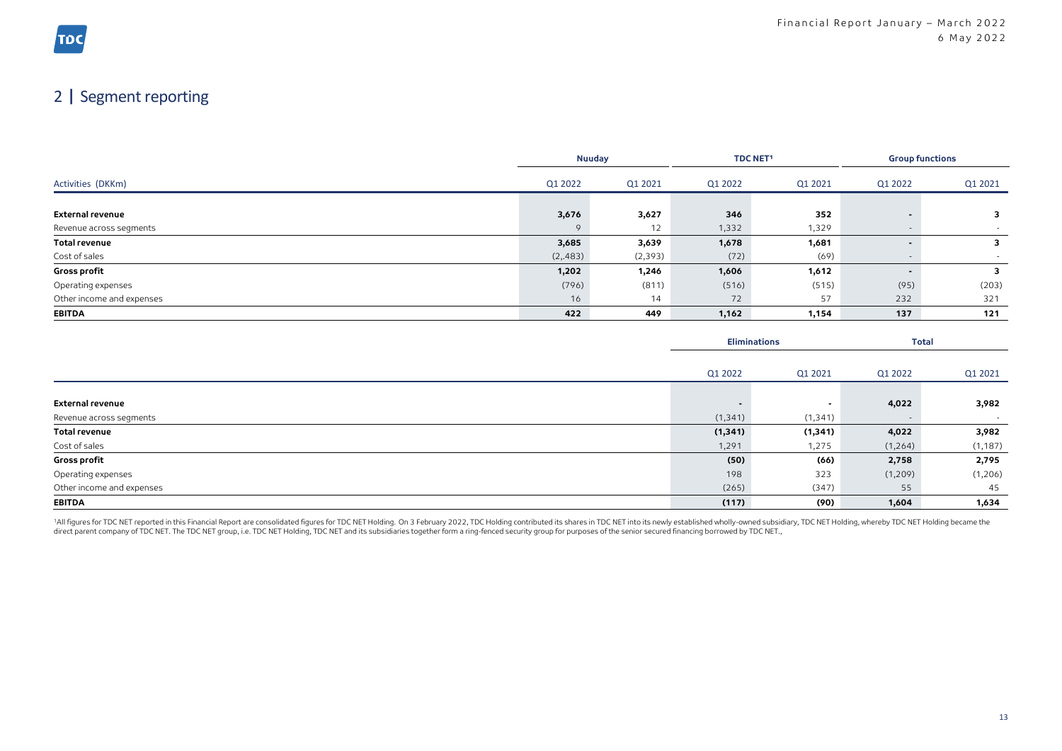## 2 | Segment reporting

|                           |          | <b>Nuuday</b> |         | <b>TDC NET1</b> |         | <b>Group functions</b> |  |
|---------------------------|----------|---------------|---------|-----------------|---------|------------------------|--|
| Activities (DKKm)         | Q1 2022  | Q1 2021       | Q1 2022 | Q1 2021         | Q1 2022 | Q1 2021                |  |
|                           |          |               |         |                 |         |                        |  |
| <b>External revenue</b>   | 3,676    | 3,627         | 346     | 352             |         | 3                      |  |
| Revenue across segments   | $\circ$  | 12            | 1,332   | 1,329           |         |                        |  |
| <b>Total revenue</b>      | 3,685    | 3,639         | 1,678   | 1,681           |         |                        |  |
| Cost of sales             | (2, 483) | (2, 393)      | (72)    | (69)            |         |                        |  |
| <b>Gross profit</b>       | 1,202    | 1,246         | 1,606   | 1,612           |         |                        |  |
| Operating expenses        | (796)    | (811)         | (516)   | (515)           | (95)    | (203)                  |  |
| Other income and expenses | 16       | 14            | 72      | 57              | 232     | 321                    |  |
| <b>EBITDA</b>             | 422      | 449           | 1,162   | 1,154           | 137     | 121                    |  |

|                           | <b>Eliminations</b> |                          |         | <b>Total</b> |
|---------------------------|---------------------|--------------------------|---------|--------------|
|                           |                     |                          |         |              |
|                           | Q1 2022             | Q1 2021                  | Q1 2022 | Q1 2021      |
| External revenue          |                     | $\overline{\phantom{a}}$ | 4,022   | 3,982        |
| Revenue across segments   | (1, 341)            | (1, 341)                 |         | $\sim$       |
| <b>Total revenue</b>      | (1, 341)            | (1, 341)                 | 4,022   | 3,982        |
| Cost of sales             | 1,291               | 1,275                    | (1,264) | (1, 187)     |
| <b>Gross profit</b>       | (50)                | (66)                     | 2,758   | 2,795        |
| Operating expenses        | 198                 | 323                      | (1,209) | (1,206)      |
| Other income and expenses | (265)               | (347)                    | 55      | 45           |
| <b>EBITDA</b>             | (117)               | (90)                     | 1,604   | 1,634        |

1All figures for TDC NET reported in this Financial Report are consolidated figures for TDC NET Holding. On 3 February 2022, TDC Holding contributed its shares in TDC NET into its newly established wholly-owned subsidiary, direct parent company of TDC NET. The TDC NET group, i.e. TDC NET Holding, TDC NET and its subsidiaries together form a ring-fenced security group for purposes of the senior secured financing borrowed by TDC NET.,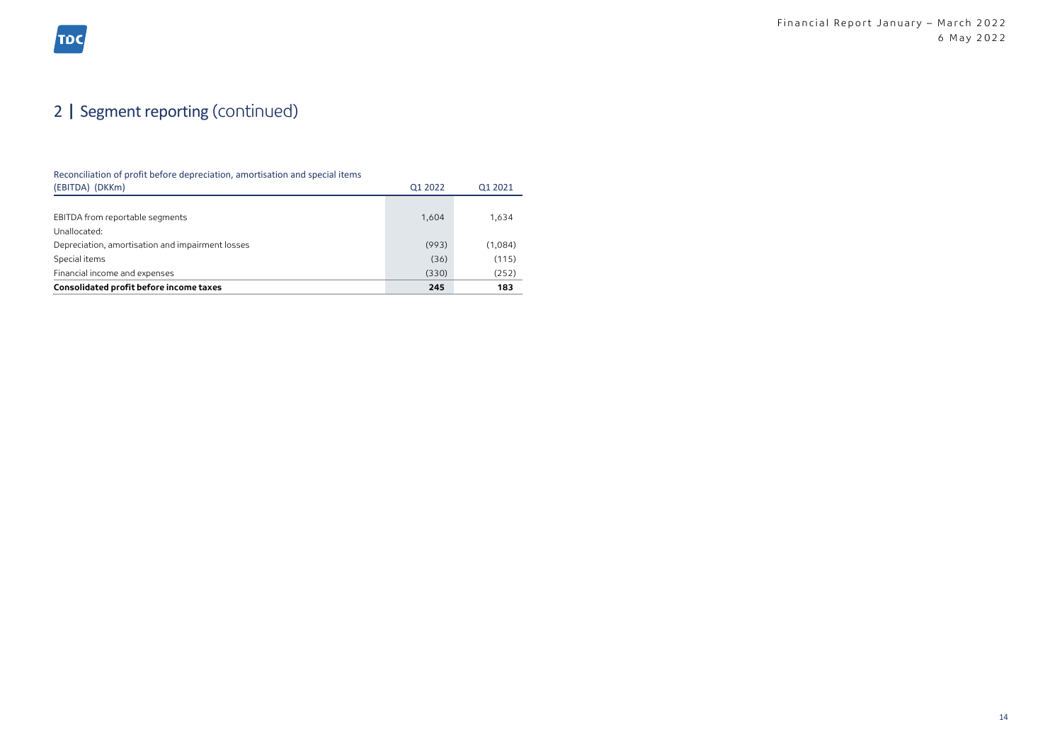## 2 | Segment reporting (continued)

#### Reconciliation of profit before depreciation, amortisation and special items

| Consolidated profit before income taxes          | 245     | 183     |
|--------------------------------------------------|---------|---------|
| Financial income and expenses                    | (330)   | (252)   |
| Special items                                    | (36)    | (115)   |
| Depreciation, amortisation and impairment losses | (993)   | (1,084) |
| Unallocated:                                     |         |         |
| EBITDA from reportable segments                  | 1,604   | 1,634   |
|                                                  |         |         |
| (EBITDA) (DKKm)                                  | Q1 2022 | 01 2021 |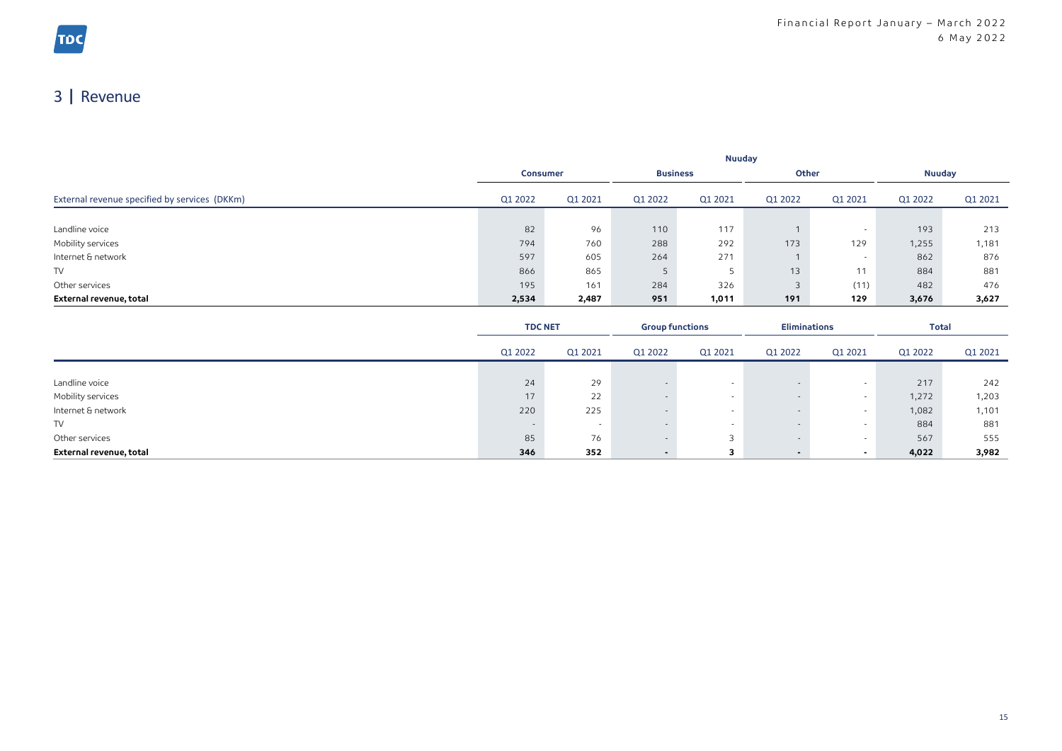## 3 | Revenue

|                                               | Nuuday  |                                    |         |         |         |               |         |         |
|-----------------------------------------------|---------|------------------------------------|---------|---------|---------|---------------|---------|---------|
|                                               |         | <b>Business</b><br><b>Consumer</b> |         | Other   |         | <b>Nuuday</b> |         |         |
| External revenue specified by services (DKKm) | Q1 2022 | Q1 2021                            | Q1 2022 | Q1 2021 | Q1 2022 | Q1 2021       | Q1 2022 | Q1 2021 |
|                                               |         |                                    |         |         |         |               |         |         |
| Landline voice                                | 82      | 96                                 | 110     | 117     |         |               | 193     | 213     |
| Mobility services                             | 794     | 760                                | 288     | 292     | 173     | 129           | 1,255   | 1,181   |
| Internet & network                            | 597     | 605                                | 264     | 271     |         |               | 862     | 876     |
| <b>TV</b>                                     | 866     | 865                                |         |         | 13      | 11            | 884     | 881     |
| Other services                                | 195     | 161                                | 284     | 326     | 3       | (11)          | 482     | 476     |
| External revenue, total                       | 2,534   | 2,487                              | 951     | 1,011   | 191     | 129           | 3,676   | 3,627   |

|                         | <b>TDC NET</b> |                          | <b>Eliminations</b><br><b>Group functions</b> |         | <b>Total</b> |                          |         |         |
|-------------------------|----------------|--------------------------|-----------------------------------------------|---------|--------------|--------------------------|---------|---------|
|                         | Q1 2022        | Q1 2021                  | Q1 2022                                       | Q1 2021 | Q1 2022      | Q1 2021                  | Q1 2022 | Q1 2021 |
|                         |                |                          |                                               |         |              |                          |         |         |
| Landline voice          | 24             | 29                       |                                               |         |              |                          | 217     | 242     |
| Mobility services       | 17             | 22                       |                                               |         |              |                          | 1,272   | 1,203   |
| Internet & network      | 220            | 225                      |                                               |         |              | . .                      | 1,082   | 1,101   |
| TV                      |                | $\overline{\phantom{a}}$ |                                               |         |              |                          | 884     | 881     |
| Other services          | 85             | 76                       |                                               |         |              | . .                      | 567     | 555     |
| External revenue, total | 346            | 352                      |                                               |         |              | $\overline{\phantom{a}}$ | 4,022   | 3,982   |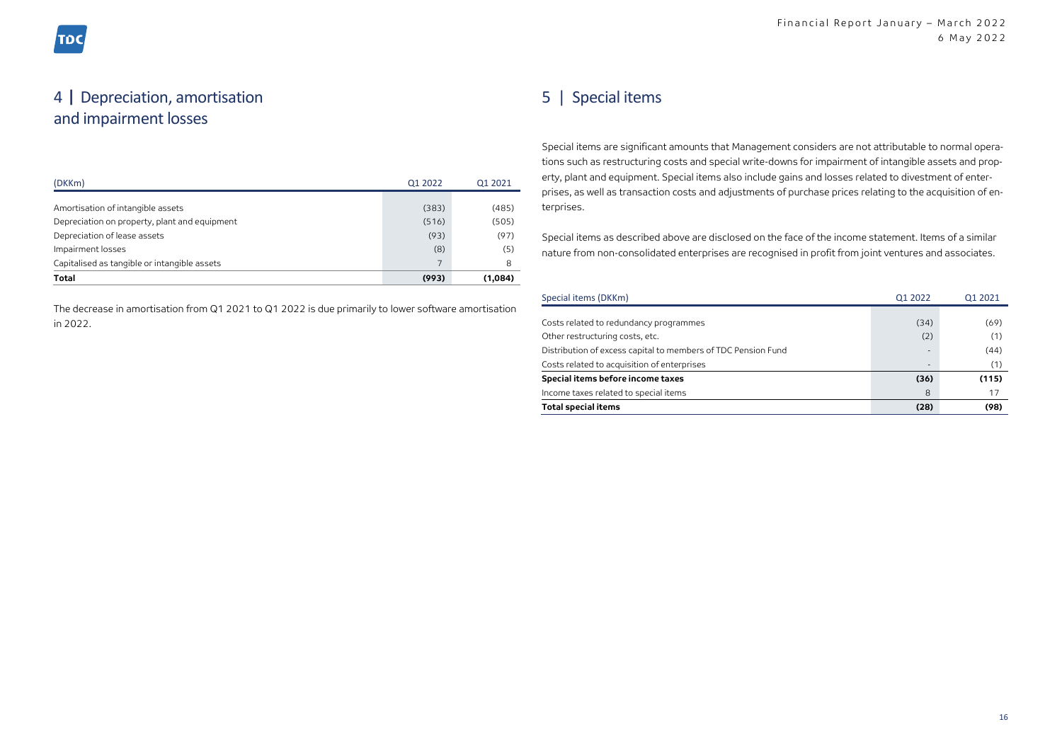### 4 | Depreciation, amortisation and impairment losses

| (DKKm)                                        | Q1 2022 | 01 2021 |
|-----------------------------------------------|---------|---------|
|                                               |         |         |
| Amortisation of intangible assets             | (383)   | (485)   |
| Depreciation on property, plant and equipment | (516)   | (505)   |
| Depreciation of lease assets                  | (93)    | (97)    |
| Impairment losses                             | (8)     | (5)     |
| Capitalised as tangible or intangible assets  | 7       | 8       |
| <b>Total</b>                                  | (993)   | (1,084) |

The decrease in amortisation from Q1 2021 to Q1 2022 is due primarily to lower software amortisation in 2022.

### 5 | Special items

Special items are significant amounts that Management considers are not attributable to normal operations such as restructuring costs and special write-downs for impairment of intangible assets and property, plant and equipment. Special items also include gains and losses related to divestment of enterprises, as well as transaction costs and adjustments of purchase prices relating to the acquisition of enterprises.

Special items as described above are disclosed on the face of the income statement. Items of a similar nature from non-consolidated enterprises are recognised in profit from joint ventures and associates.

| Special items (DKKm)                                          | Q1 2022                  | Q1 2021 |
|---------------------------------------------------------------|--------------------------|---------|
|                                                               |                          |         |
| Costs related to redundancy programmes                        | (34)                     | (69)    |
| Other restructuring costs, etc.                               | (2)                      | (1)     |
| Distribution of excess capital to members of TDC Pension Fund | ٠                        | (44)    |
| Costs related to acquisition of enterprises                   | $\overline{\phantom{a}}$ | (1)     |
| Special items before income taxes                             | (36)                     | (115)   |
| Income taxes related to special items                         | 8                        | 17      |
| <b>Total special items</b>                                    | (28)                     | (98)    |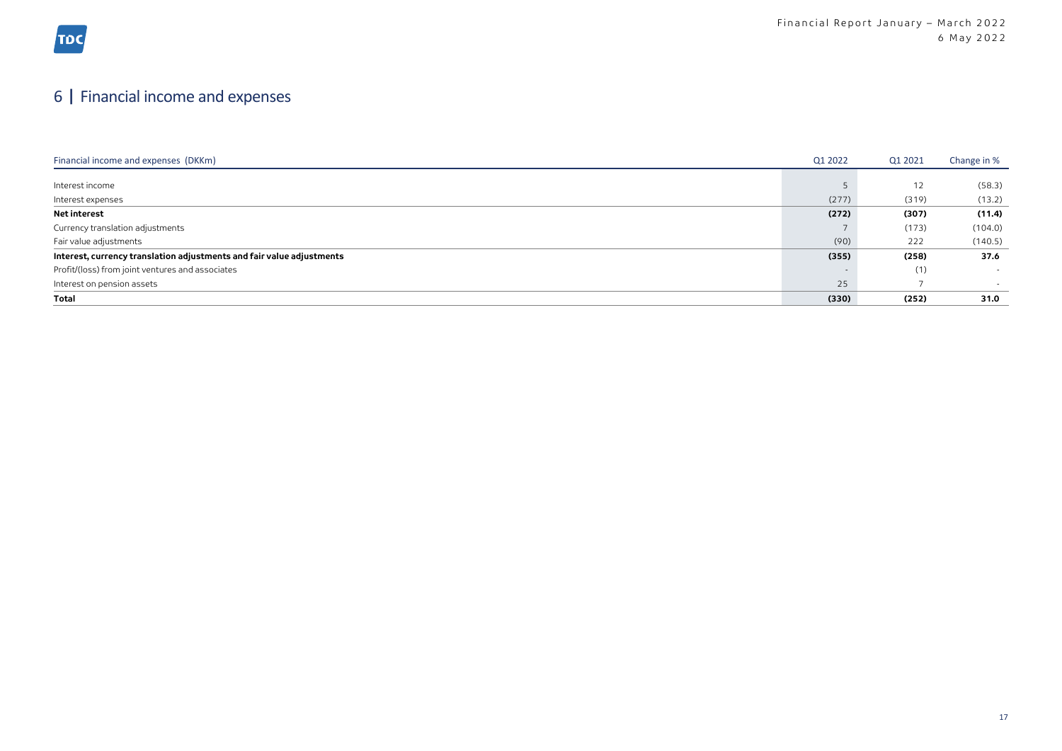## 6 | Financial income and expenses

| Financial income and expenses (DKKm)                                  | Q1 2022 | Q1 2021 | Change in % |
|-----------------------------------------------------------------------|---------|---------|-------------|
|                                                                       |         |         |             |
| Interest income                                                       |         | 12      | (58.3)      |
| Interest expenses                                                     | (277)   | (319)   | (13.2)      |
| <b>Net interest</b>                                                   | (272)   | (307)   | (11.4)      |
| Currency translation adjustments                                      |         | (173)   | (104.0)     |
| Fair value adjustments                                                | (90)    | 222     | (140.5)     |
| Interest, currency translation adjustments and fair value adjustments | (355)   | (258)   | 37.6        |
| Profit/(loss) from joint ventures and associates                      |         | (1)     | $\sim$      |
| Interest on pension assets                                            | 25      |         |             |
| Total                                                                 | (330)   | (252)   | 31.0        |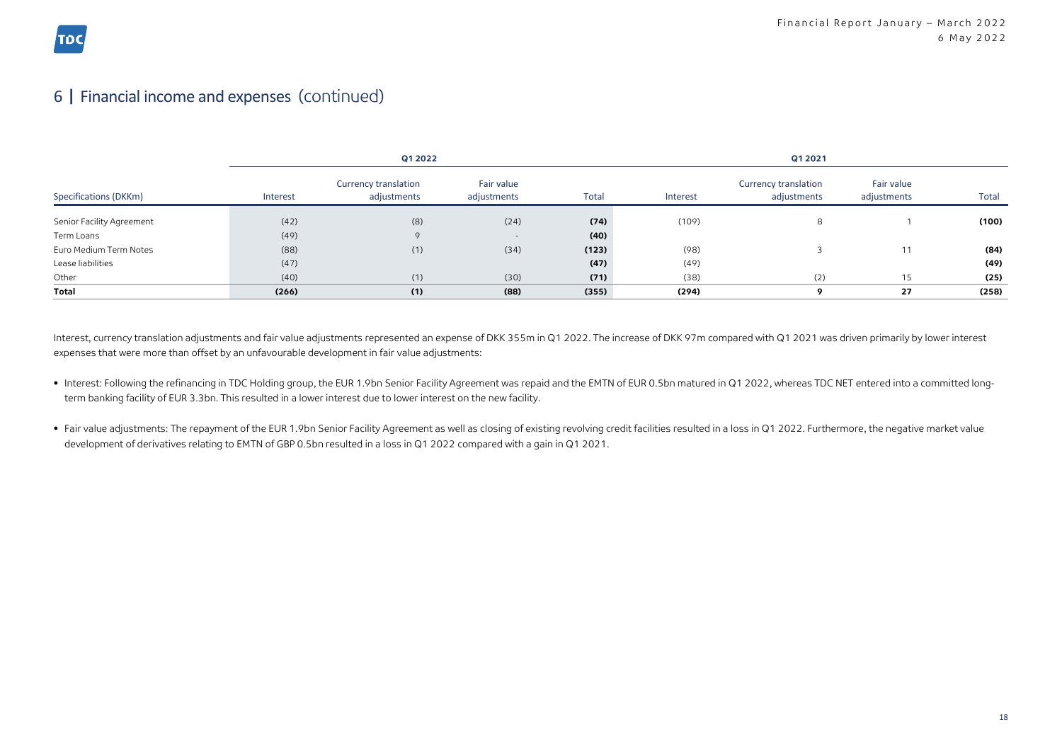## 6 | Financial income and expenses (continued)

| Q1 2022                   |          |                                            |                           | Q1 2021 |          |                                            |                           |       |
|---------------------------|----------|--------------------------------------------|---------------------------|---------|----------|--------------------------------------------|---------------------------|-------|
| Specifications (DKKm)     | Interest | <b>Currency translation</b><br>adjustments | Fair value<br>adjustments | Total   | Interest | <b>Currency translation</b><br>adjustments | Fair value<br>adjustments | Total |
| Senior Facility Agreement | (42)     | (8)                                        | (24)                      | (74)    | (109)    | 8                                          |                           | (100) |
| Term Loans                | (49)     | $\circ$                                    | $\sim$                    | (40)    |          |                                            |                           |       |
| Euro Medium Term Notes    | (88)     | (1)                                        | (34)                      | (123)   | (98)     |                                            | 11                        | (84)  |
| Lease liabilities         | (47)     |                                            |                           | (47)    | (49)     |                                            |                           | (49)  |
| Other                     | (40)     | (1)                                        | (30)                      | (71)    | (38)     | (2)                                        | 15                        | (25)  |
| <b>Total</b>              | (266)    | (1)                                        | (88)                      | (355)   | (294)    | ۰                                          | 27                        | (258) |

Interest, currency translation adjustments and fair value adjustments represented an expense of DKK 355m in Q1 2022. The increase of DKK 97m compared with Q1 2021 was driven primarily by lower interest expenses that were more than offset by an unfavourable development in fair value adjustments:

- Interest: Following the refinancing in TDC Holding group, the EUR 1.9bn Senior Facility Agreement was repaid and the EMTN of EUR 0.5bn matured in Q1 2022, whereas TDC NET entered into a committed longterm banking facility of EUR 3.3bn. This resulted in a lower interest due to lower interest on the new facility.
- Fair value adjustments: The repayment of the EUR 1.9bn Senior Facility Agreement as well as closing of existing revolving credit facilities resulted in a loss in Q1 2022. Furthermore, the negative market value development of derivatives relating to EMTN of GBP 0.5bn resulted in a loss in Q1 2022 compared with a gain in Q1 2021.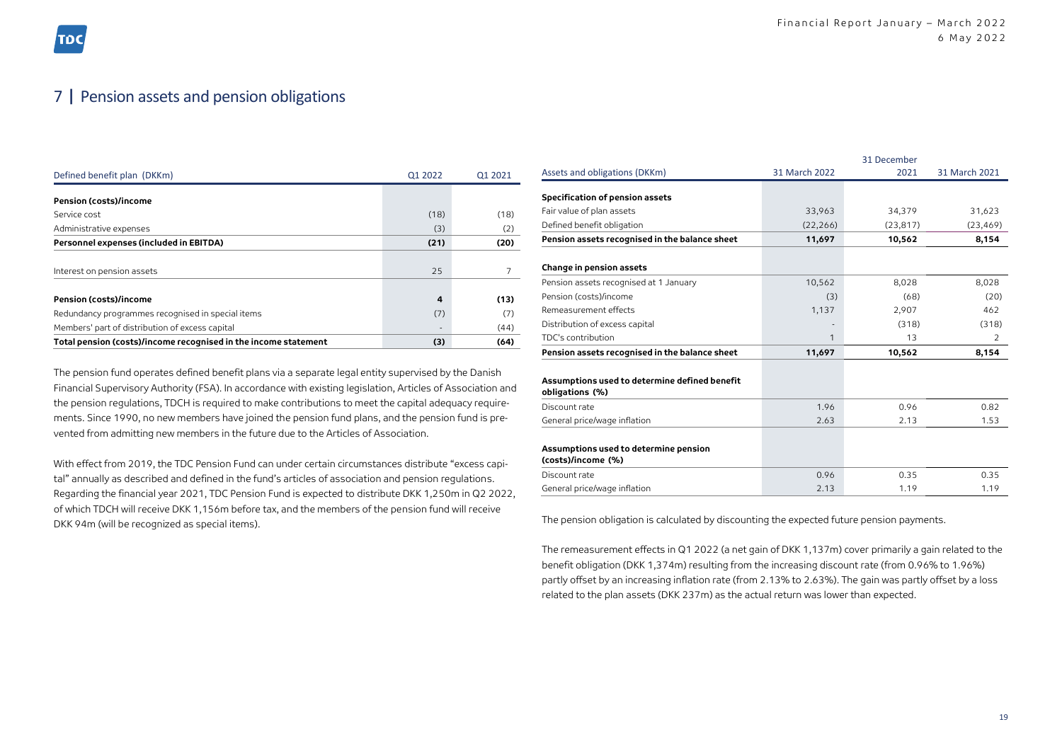### 7 | Pension assets and pension obligations

| Defined benefit plan (DKKm)                                     | Q1 2022                  | 01 2021 |
|-----------------------------------------------------------------|--------------------------|---------|
|                                                                 |                          |         |
| Pension (costs)/income                                          |                          |         |
| Service cost                                                    | (18)                     | (18)    |
| Administrative expenses                                         | (3)                      | (2)     |
| Personnel expenses (included in EBITDA)                         | (21)                     | (20)    |
|                                                                 |                          |         |
| Interest on pension assets                                      | 25                       |         |
|                                                                 |                          |         |
| <b>Pension (costs)/income</b>                                   | 4                        | (13)    |
| Redundancy programmes recognised in special items               | (7)                      | (7)     |
| Members' part of distribution of excess capital                 | $\overline{\phantom{a}}$ | (44)    |
| Total pension (costs)/income recognised in the income statement | (3)                      | (64)    |

The pension fund operates defined benefit plans via a separate legal entity supervised by the Danish Financial Supervisory Authority (FSA). In accordance with existing legislation, Articles of Association and the pension regulations, TDCH is required to make contributions to meet the capital adequacy requirements. Since 1990, no new members have joined the pension fund plans, and the pension fund is prevented from admitting new members in the future due to the Articles of Association.

With effect from 2019, the TDC Pension Fund can under certain circumstances distribute "excess capital" annually as described and defined in the fund's articles of association and pension regulations. Regarding the financial year 2021, TDC Pension Fund is expected to distribute DKK 1,250m in Q2 2022, of which TDCH will receive DKK 1,156m before tax, and the members of the pension fund will receive DKK 94m (will be recognized as special items).

|                                                                  | 31 December   |           |                |  |  |
|------------------------------------------------------------------|---------------|-----------|----------------|--|--|
| Assets and obligations (DKKm)                                    | 31 March 2022 | 2021      | 31 March 2021  |  |  |
| Specification of pension assets                                  |               |           |                |  |  |
| Fair value of plan assets                                        | 33,963        | 34,379    |                |  |  |
|                                                                  |               |           | 31,623         |  |  |
| Defined benefit obligation                                       | (22, 266)     | (23, 817) | (23, 469)      |  |  |
| Pension assets recognised in the balance sheet                   | 11,697        | 10,562    | 8,154          |  |  |
| Change in pension assets                                         |               |           |                |  |  |
| Pension assets recognised at 1 January                           | 10,562        | 8,028     | 8,028          |  |  |
| Pension (costs)/income                                           | (3)           | (68)      | (20)           |  |  |
| Remeasurement effects                                            | 1,137         | 2,907     | 462            |  |  |
| Distribution of excess capital                                   |               | (318)     | (318)          |  |  |
| TDC's contribution                                               | 1             | 13        | $\mathfrak{D}$ |  |  |
| Pension assets recognised in the balance sheet                   | 11,697        | 10,562    | 8,154          |  |  |
| Assumptions used to determine defined benefit<br>obligations (%) |               |           |                |  |  |
| Discount rate                                                    | 1.96          | 0.96      | 0.82           |  |  |
| General price/wage inflation                                     | 2.63          | 2.13      | 1.53           |  |  |
| Assumptions used to determine pension<br>(costs)/income (%)      |               |           |                |  |  |
| Discount rate                                                    | 0.96          | 0.35      | 0.35           |  |  |
| General price/wage inflation                                     | 2.13          | 1.19      | 1.19           |  |  |

The pension obligation is calculated by discounting the expected future pension payments.

The remeasurement effects in Q1 2022 (a net gain of DKK 1,137m) cover primarily a gain related to the benefit obligation (DKK 1,374m) resulting from the increasing discount rate (from 0.96% to 1.96%) partly offset by an increasing inflation rate (from 2.13% to 2.63%). The gain was partly offset by a loss related to the plan assets (DKK 237m) as the actual return was lower than expected.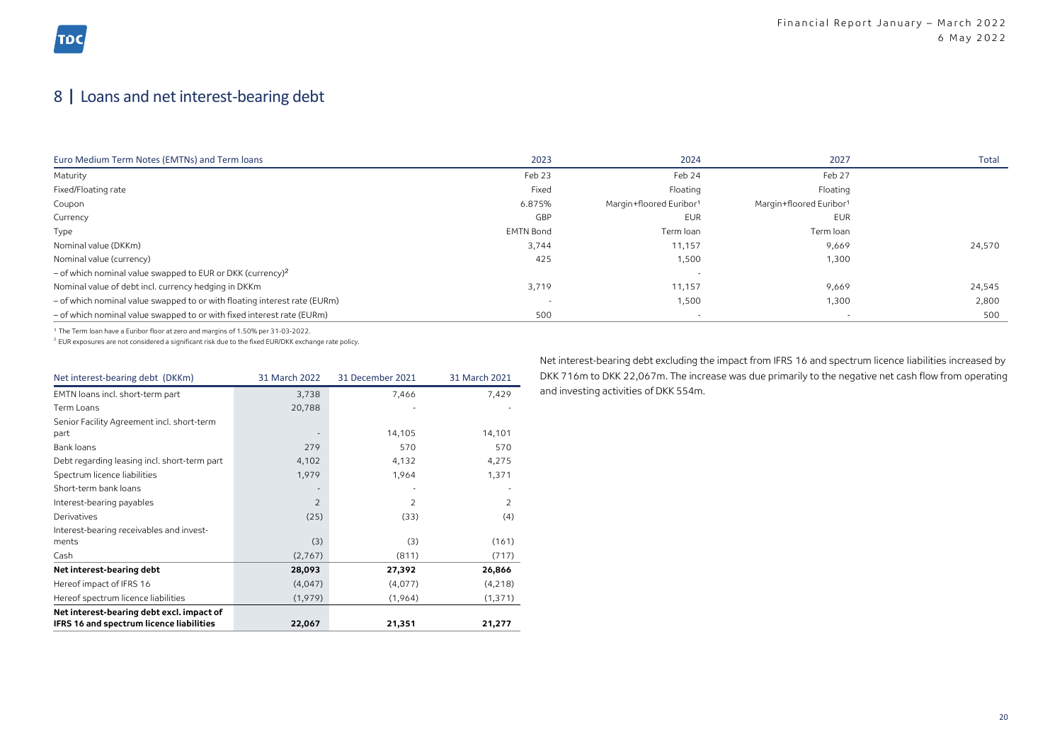## 8 | Loans and net interest-bearing debt

| Euro Medium Term Notes (EMTNs) and Term loans                             | 2023             | 2024                                | 2027                    | Total  |
|---------------------------------------------------------------------------|------------------|-------------------------------------|-------------------------|--------|
| Maturity                                                                  | Feb 23           | Feb 24                              | Feb 27                  |        |
| Fixed/Floating rate                                                       | Fixed            | Floating                            | Floating                |        |
| Coupon                                                                    | 6.875%           | Margin+floored Euribor <sup>1</sup> | Margin+floored Euribor1 |        |
| Currency                                                                  | GBP              | EUR                                 | EUR                     |        |
| Type                                                                      | <b>EMTN Bond</b> | Term loan                           | Term loan               |        |
| Nominal value (DKKm)                                                      | 3,744            | 11,157                              | 9,669                   | 24,570 |
| Nominal value (currency)                                                  | 425              | 1,500                               | 1,300                   |        |
| $-$ of which nominal value swapped to EUR or DKK (currency) <sup>2</sup>  |                  |                                     |                         |        |
| Nominal value of debt incl. currency hedging in DKKm                      | 3,719            | 11,157                              | 9,669                   | 24,545 |
| - of which nominal value swapped to or with floating interest rate (EURm) |                  | 1,500                               | 1,300                   | 2,800  |
| - of which nominal value swapped to or with fixed interest rate (EURm)    | 500              |                                     |                         | 500    |

<sup>1</sup> The Term loan have a Euribor floor at zero and margins of 1.50% per 31-03-2022.

<sup>2</sup> EUR exposures are not considered a significant risk due to the fixed EUR/DKK exchange rate policy.

| Net interest-bearing debt (DKKm)             | 31 March 2022  | 31 December 2021 | 31 March 2021 |
|----------------------------------------------|----------------|------------------|---------------|
| EMTN loans incl. short-term part             | 3,738          | 7,466            | 7,429         |
| Term Loans                                   | 20,788         |                  |               |
| Senior Facility Agreement incl. short-term   |                |                  |               |
| part                                         |                | 14,105           | 14,101        |
| Bank loans                                   | 279            | 570              | 570           |
| Debt regarding leasing incl. short-term part | 4,102          | 4,132            | 4,275         |
| Spectrum licence liabilities                 | 1,979          | 1,964            | 1,371         |
| Short-term bank loans                        |                |                  |               |
| Interest-bearing payables                    | $\overline{2}$ | $\overline{2}$   | 2             |
| Derivatives                                  | (25)           | (33)             | (4)           |
| Interest-bearing receivables and invest-     |                |                  |               |
| ments                                        | (3)            | (3)              | (161)         |
| Cash                                         | (2,767)        | (811)            | (717)         |
| Net interest-bearing debt                    | 28,093         | 27,392           | 26,866        |
| Hereof impact of IFRS 16                     | (4,047)        | (4,077)          | (4,218)       |
| Hereof spectrum licence liabilities          | (1,979)        | (1,964)          | (1, 371)      |
| Net interest-bearing debt excl. impact of    |                |                  |               |
| IFRS 16 and spectrum licence liabilities     | 22,067         | 21,351           | 21,277        |

Net interest-bearing debt excluding the impact from IFRS 16 and spectrum licence liabilities increased by DKK 716m to DKK 22,067m. The increase was due primarily to the negative net cash flow from operating and investing activities of DKK 554m.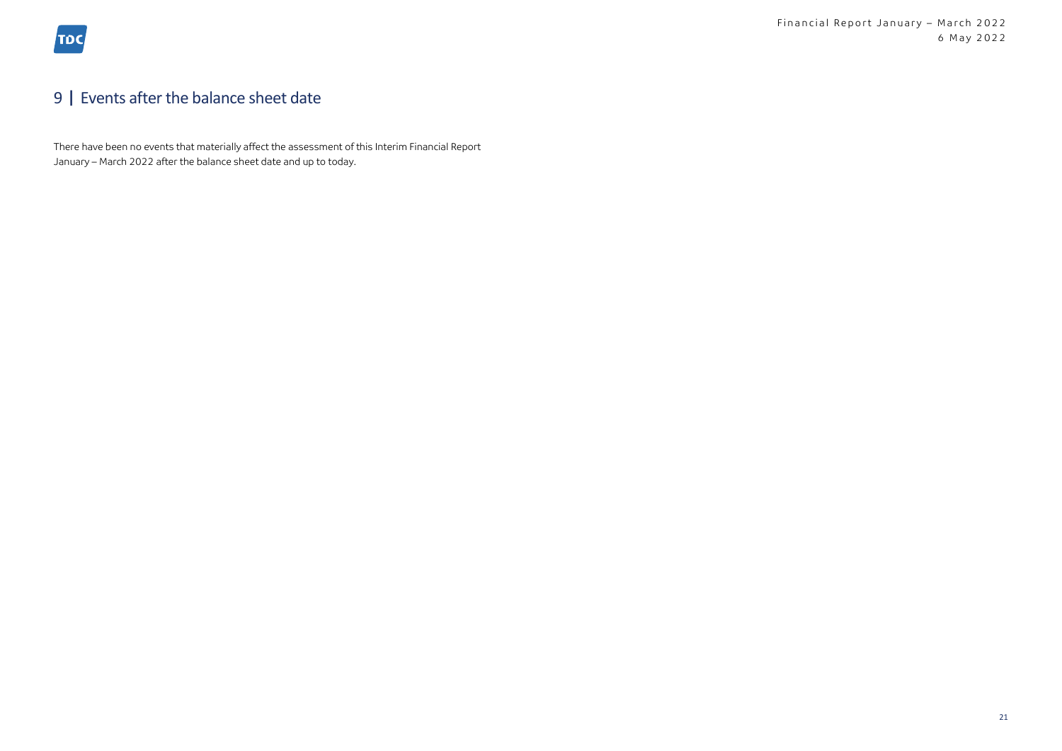## 9 | Events after the balance sheet date

There have been no events that materially affect the assessment of this Interim Financial Report January – March 2022 after the balance sheet date and up to today.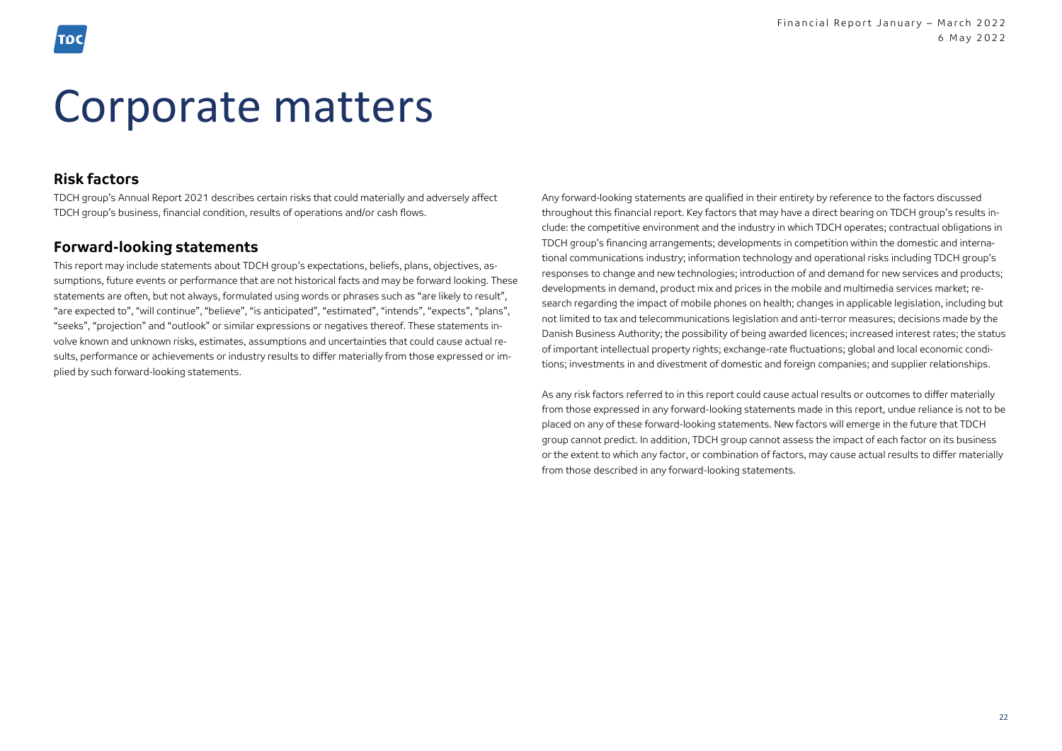## Corporate matters

### **Risk factors**

TDCH group's Annual Report 2021 describes certain risks that could materially and adversely affect TDCH group's business, financial condition, results of operations and/or cash flows.

### **Forward-looking statements**

This report may include statements about TDCH group's expectations, beliefs, plans, objectives, assumptions, future events or performance that are not historical facts and may be forward looking. These statements are often, but not always, formulated using words or phrases such as "are likely to result", "are expected to", "will continue", "believe", "is anticipated", "estimated", "intends", "expects", "plans", "seeks", "projection" and "outlook" or similar expressions or negatives thereof. These statements involve known and unknown risks, estimates, assumptions and uncertainties that could cause actual results, performance or achievements or industry results to differ materially from those expressed or implied by such forward-looking statements.

Any forward-looking statements are qualified in their entirety by reference to the factors discussed throughout this financial report. Key factors that may have a direct bearing on TDCH group's results include: the competitive environment and the industry in which TDCH operates; contractual obligations in TDCH group's financing arrangements; developments in competition within the domestic and international communications industry; information technology and operational risks including TDCH group's responses to change and new technologies; introduction of and demand for new services and products; developments in demand, product mix and prices in the mobile and multimedia services market; research regarding the impact of mobile phones on health; changes in applicable legislation, including but not limited to tax and telecommunications legislation and anti-terror measures; decisions made by the Danish Business Authority; the possibility of being awarded licences; increased interest rates; the status of important intellectual property rights; exchange-rate fluctuations; global and local economic conditions; investments in and divestment of domestic and foreign companies; and supplier relationships.

As any risk factors referred to in this report could cause actual results or outcomes to differ materially from those expressed in any forward-looking statements made in this report, undue reliance is not to be placed on any of these forward-looking statements. New factors will emerge in the future that TDCH group cannot predict. In addition, TDCH group cannot assess the impact of each factor on its business or the extent to which any factor, or combination of factors, may cause actual results to differ materially from those described in any forward-looking statements.